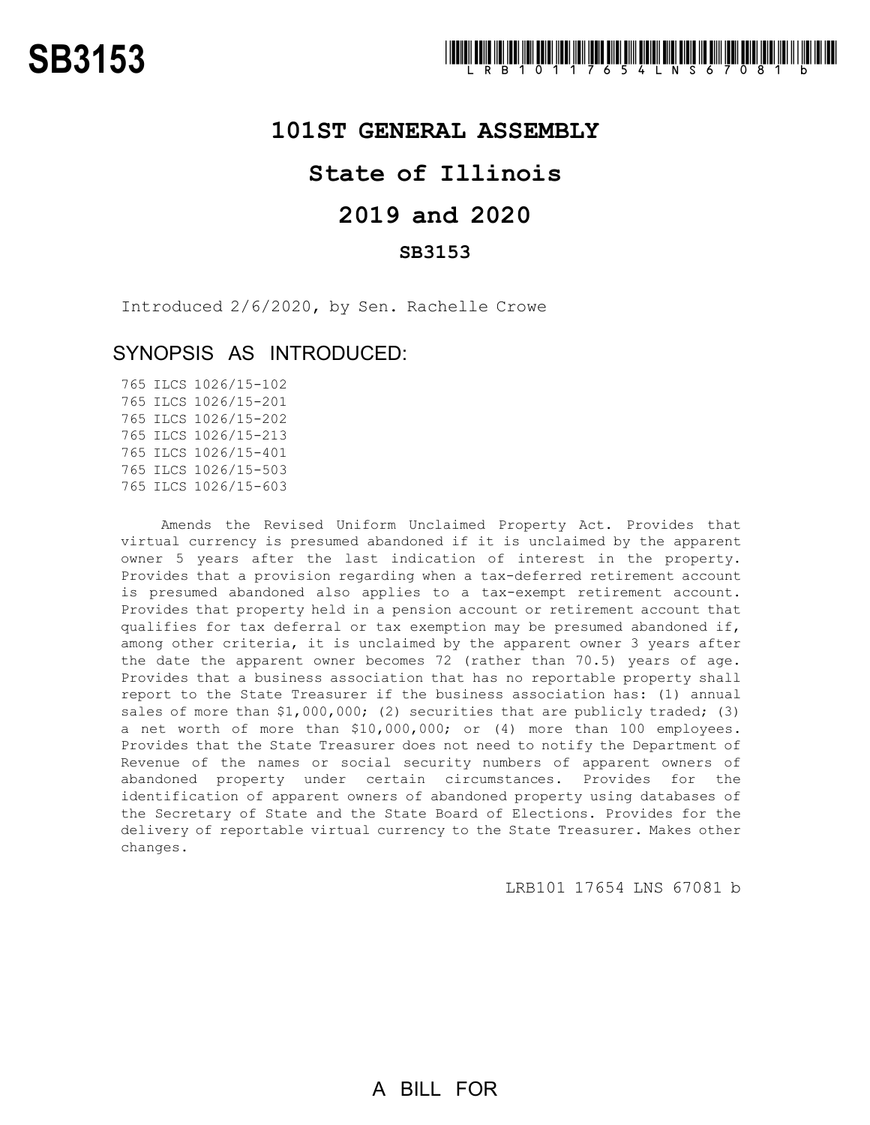### **101ST GENERAL ASSEMBLY**

# **State of Illinois**

# **2019 and 2020**

### **SB3153**

Introduced 2/6/2020, by Sen. Rachelle Crowe

## SYNOPSIS AS INTRODUCED:

 ILCS 1026/15-102 ILCS 1026/15-201 ILCS 1026/15-202 ILCS 1026/15-213 ILCS 1026/15-401 ILCS 1026/15-503 ILCS 1026/15-603

Amends the Revised Uniform Unclaimed Property Act. Provides that virtual currency is presumed abandoned if it is unclaimed by the apparent owner 5 years after the last indication of interest in the property. Provides that a provision regarding when a tax-deferred retirement account is presumed abandoned also applies to a tax-exempt retirement account. Provides that property held in a pension account or retirement account that qualifies for tax deferral or tax exemption may be presumed abandoned if, among other criteria, it is unclaimed by the apparent owner 3 years after the date the apparent owner becomes 72 (rather than 70.5) years of age. Provides that a business association that has no reportable property shall report to the State Treasurer if the business association has: (1) annual sales of more than \$1,000,000; (2) securities that are publicly traded; (3) a net worth of more than \$10,000,000; or (4) more than 100 employees. Provides that the State Treasurer does not need to notify the Department of Revenue of the names or social security numbers of apparent owners of abandoned property under certain circumstances. Provides for the identification of apparent owners of abandoned property using databases of the Secretary of State and the State Board of Elections. Provides for the delivery of reportable virtual currency to the State Treasurer. Makes other changes.

LRB101 17654 LNS 67081 b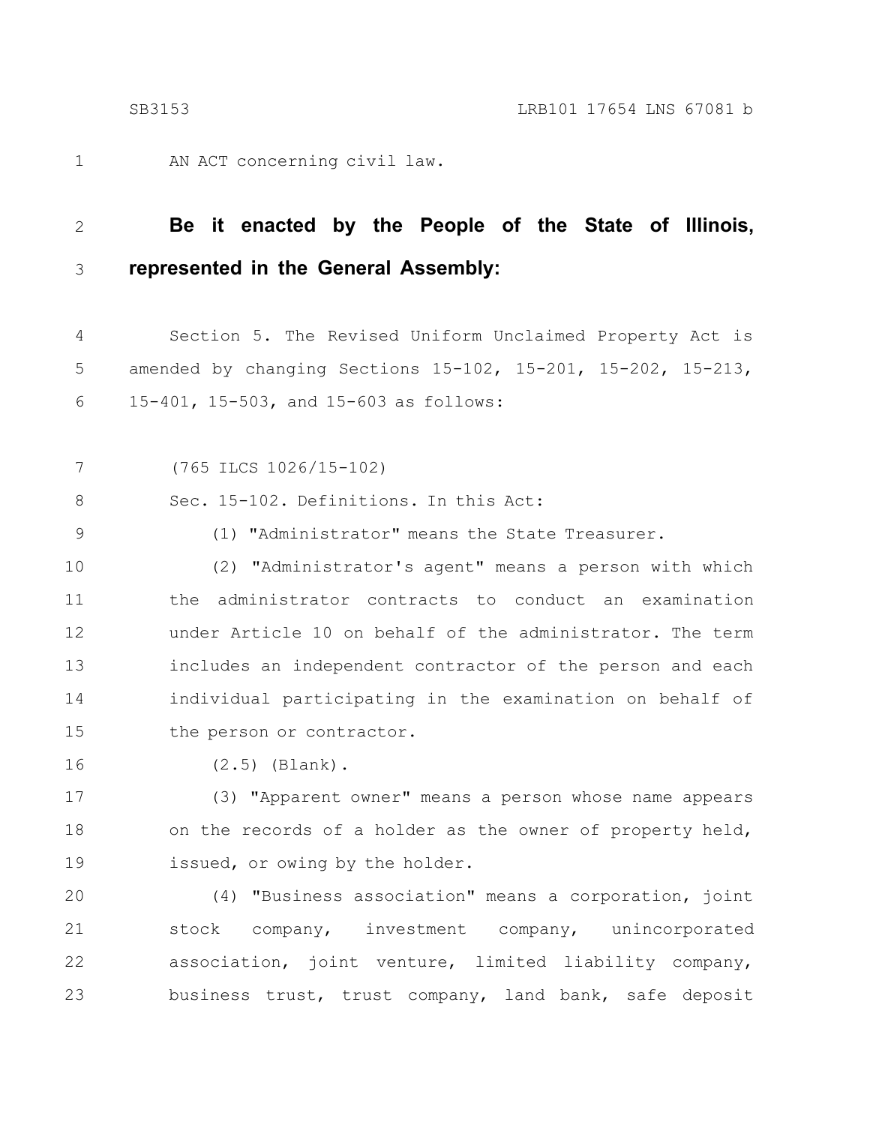AN ACT concerning civil law.

#### **Be it enacted by the People of the State of Illinois, represented in the General Assembly:** 2 3

Section 5. The Revised Uniform Unclaimed Property Act is amended by changing Sections 15-102, 15-201, 15-202, 15-213, 15-401, 15-503, and 15-603 as follows: 4 5 6

(765 ILCS 1026/15-102) 7

Sec. 15-102. Definitions. In this Act: 8

9

1

(1) "Administrator" means the State Treasurer.

(2) "Administrator's agent" means a person with which the administrator contracts to conduct an examination under Article 10 on behalf of the administrator. The term includes an independent contractor of the person and each individual participating in the examination on behalf of the person or contractor. 10 11 12 13 14 15

(2.5) (Blank). 16

(3) "Apparent owner" means a person whose name appears on the records of a holder as the owner of property held, issued, or owing by the holder. 17 18 19

(4) "Business association" means a corporation, joint stock company, investment company, unincorporated association, joint venture, limited liability company, business trust, trust company, land bank, safe deposit 20 21 22 23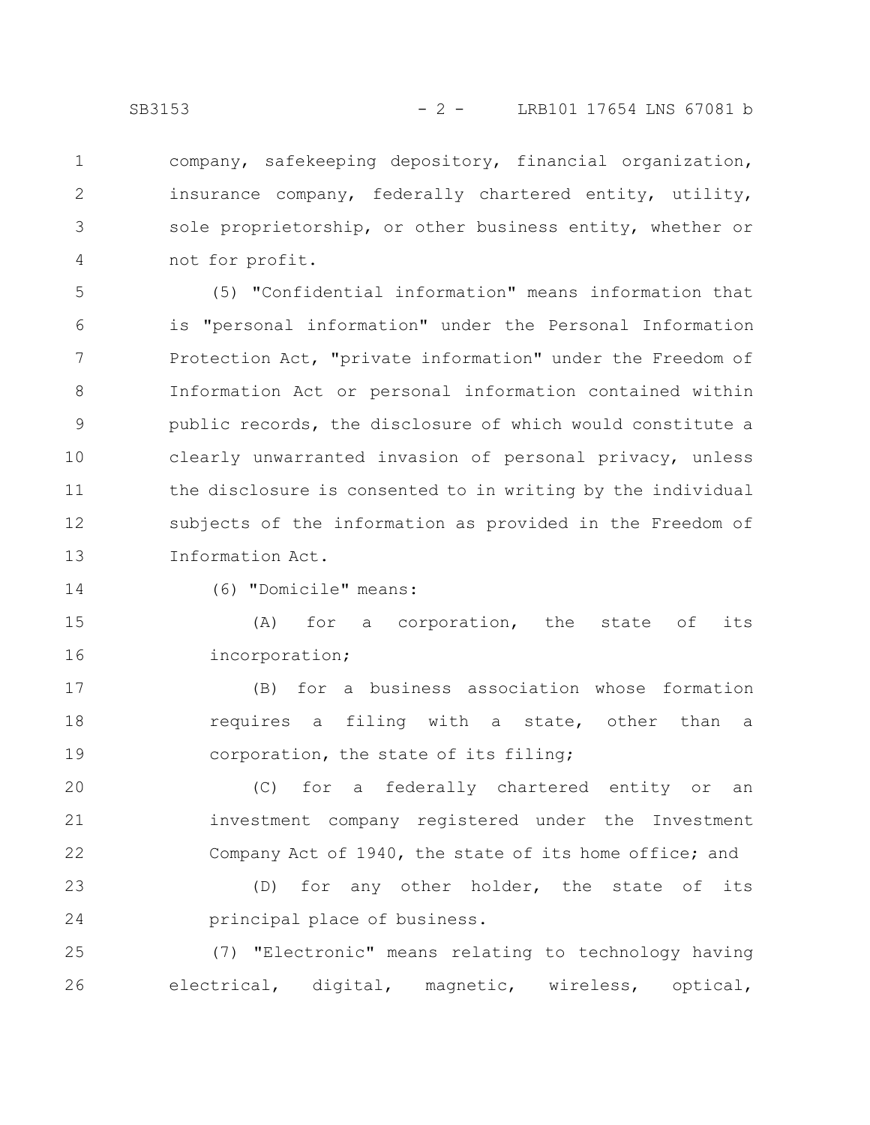2

3

4

company, safekeeping depository, financial organization, insurance company, federally chartered entity, utility, sole proprietorship, or other business entity, whether or not for profit.

(5) "Confidential information" means information that is "personal information" under the Personal Information Protection Act, "private information" under the Freedom of Information Act or personal information contained within public records, the disclosure of which would constitute a clearly unwarranted invasion of personal privacy, unless the disclosure is consented to in writing by the individual subjects of the information as provided in the Freedom of Information Act. 5 6 7 8 9 10 11 12 13

14

(6) "Domicile" means:

(A) for a corporation, the state of its incorporation; 15 16

(B) for a business association whose formation requires a filing with a state, other than a corporation, the state of its filing; 17 18 19

(C) for a federally chartered entity or an investment company registered under the Investment Company Act of 1940, the state of its home office; and 20 21 22

(D) for any other holder, the state of its principal place of business. 23 24

(7) "Electronic" means relating to technology having electrical, digital, magnetic, wireless, optical, 25 26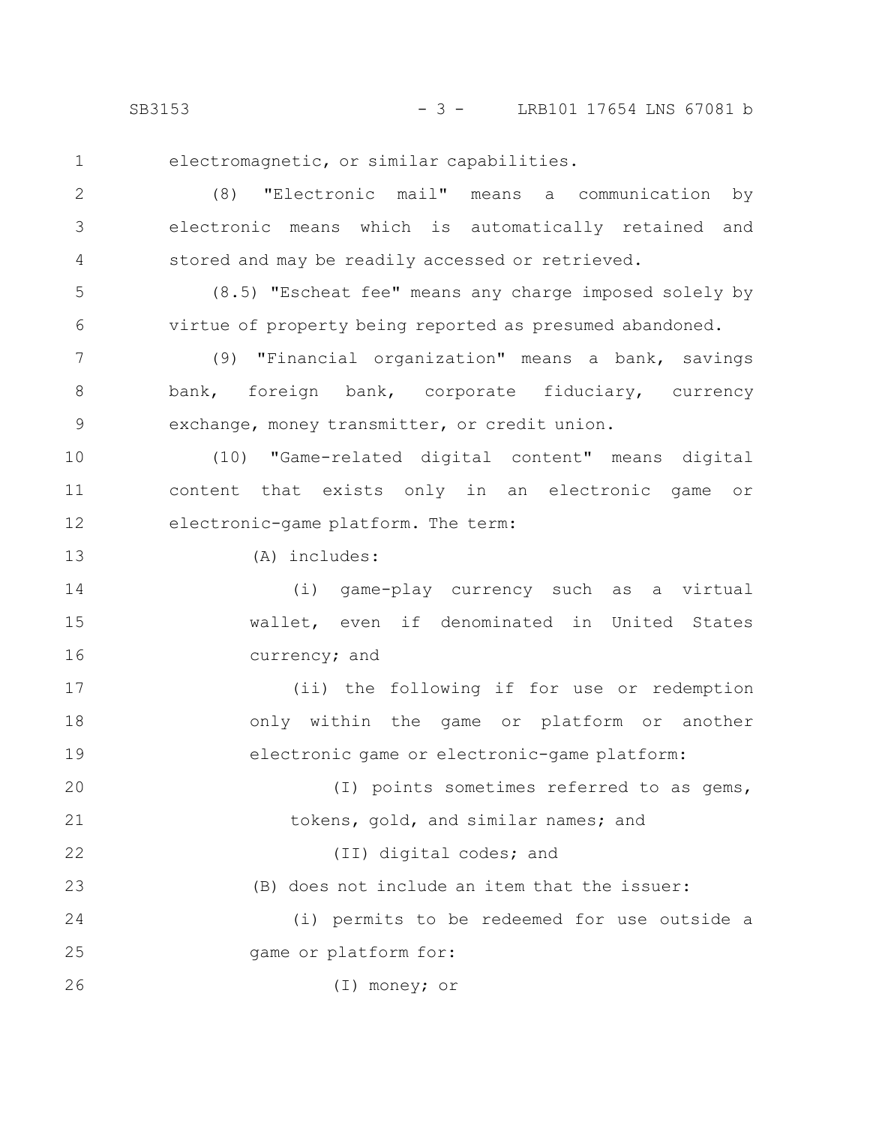22

23

electromagnetic, or similar capabilities.

(8) "Electronic mail" means a communication by electronic means which is automatically retained and stored and may be readily accessed or retrieved. 2 3 4

(8.5) "Escheat fee" means any charge imposed solely by virtue of property being reported as presumed abandoned. 5 6

(9) "Financial organization" means a bank, savings bank, foreign bank, corporate fiduciary, currency exchange, money transmitter, or credit union. 7 8 9

(10) "Game-related digital content" means digital content that exists only in an electronic game or electronic-game platform. The term: 10 11 12

(A) includes: 13

(i) game-play currency such as a virtual wallet, even if denominated in United States currency; and 14 15 16

(ii) the following if for use or redemption only within the game or platform or another electronic game or electronic-game platform: 17 18 19

(I) points sometimes referred to as gems, tokens, gold, and similar names; and 20 21

(II) digital codes; and

(B) does not include an item that the issuer:

(i) permits to be redeemed for use outside a game or platform for: 24 25

(I) money; or 26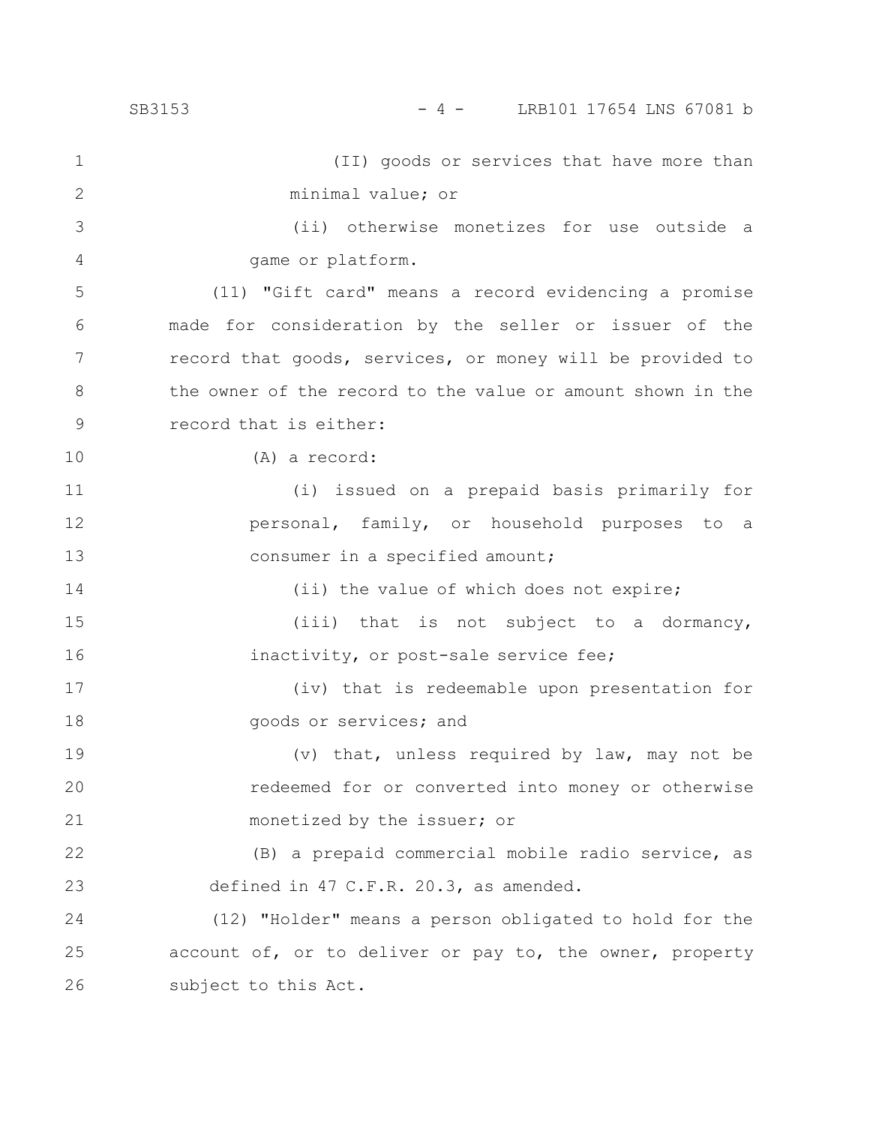(II) goods or services that have more than minimal value; or (ii) otherwise monetizes for use outside a game or platform. (11) "Gift card" means a record evidencing a promise made for consideration by the seller or issuer of the record that goods, services, or money will be provided to the owner of the record to the value or amount shown in the record that is either: (A) a record: (i) issued on a prepaid basis primarily for personal, family, or household purposes to a consumer in a specified amount; (ii) the value of which does not expire; (iii) that is not subject to a dormancy, inactivity, or post-sale service fee; (iv) that is redeemable upon presentation for goods or services; and (v) that, unless required by law, may not be redeemed for or converted into money or otherwise monetized by the issuer; or (B) a prepaid commercial mobile radio service, as defined in 47 C.F.R. 20.3, as amended. (12) "Holder" means a person obligated to hold for the account of, or to deliver or pay to, the owner, property subject to this Act. 1 2 3 4 5 6 7 8 9 10 11 12 13 14 15 16 17 18 19 20 21 22 23 24 25 26 SB3153 - 4 - LRB101 17654 LNS 67081 b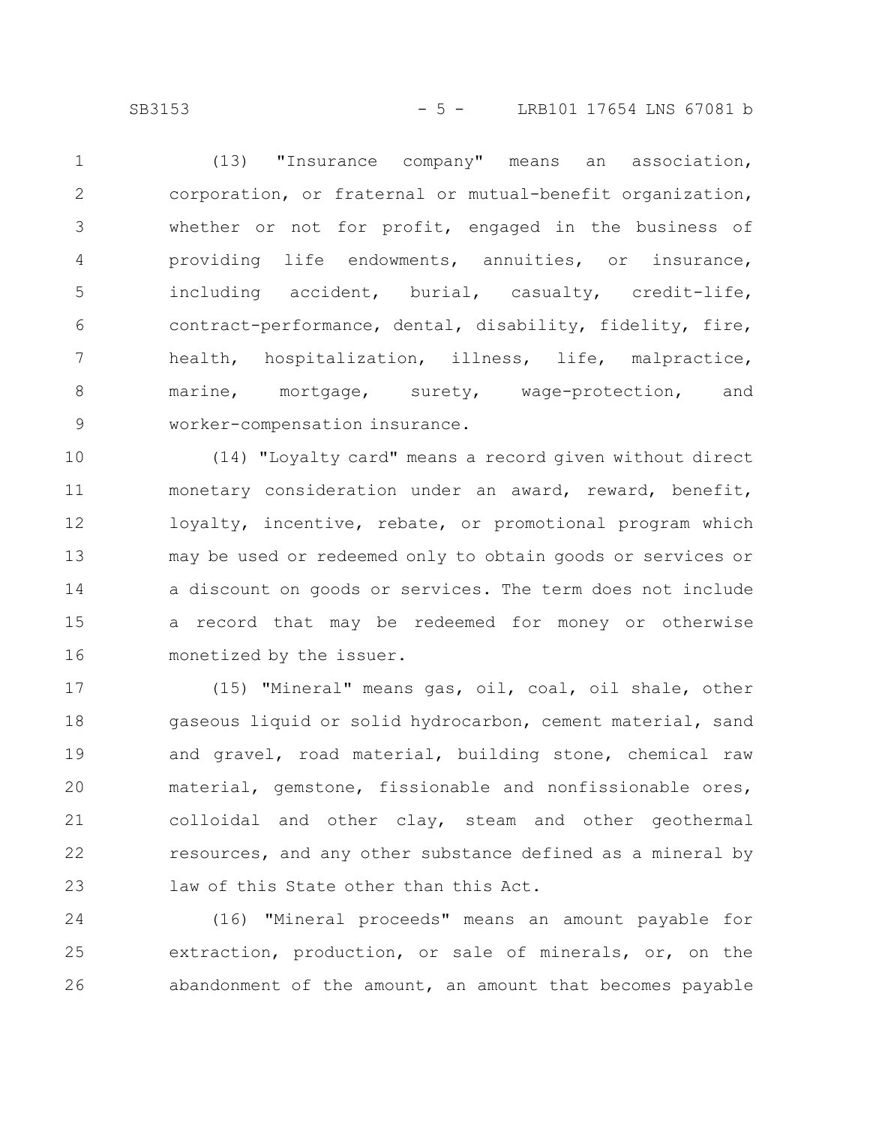SB3153 - 5 - LRB101 17654 LNS 67081 b

(13) "Insurance company" means an association, corporation, or fraternal or mutual-benefit organization, whether or not for profit, engaged in the business of providing life endowments, annuities, or insurance, including accident, burial, casualty, credit-life, contract-performance, dental, disability, fidelity, fire, health, hospitalization, illness, life, malpractice, marine, mortgage, surety, wage-protection, and worker-compensation insurance. 1 2 3 4 5 6 7 8 9

(14) "Loyalty card" means a record given without direct monetary consideration under an award, reward, benefit, loyalty, incentive, rebate, or promotional program which may be used or redeemed only to obtain goods or services or a discount on goods or services. The term does not include a record that may be redeemed for money or otherwise monetized by the issuer. 10 11 12 13 14 15 16

(15) "Mineral" means gas, oil, coal, oil shale, other gaseous liquid or solid hydrocarbon, cement material, sand and gravel, road material, building stone, chemical raw material, gemstone, fissionable and nonfissionable ores, colloidal and other clay, steam and other geothermal resources, and any other substance defined as a mineral by law of this State other than this Act. 17 18 19 20 21 22 23

(16) "Mineral proceeds" means an amount payable for extraction, production, or sale of minerals, or, on the abandonment of the amount, an amount that becomes payable 24 25 26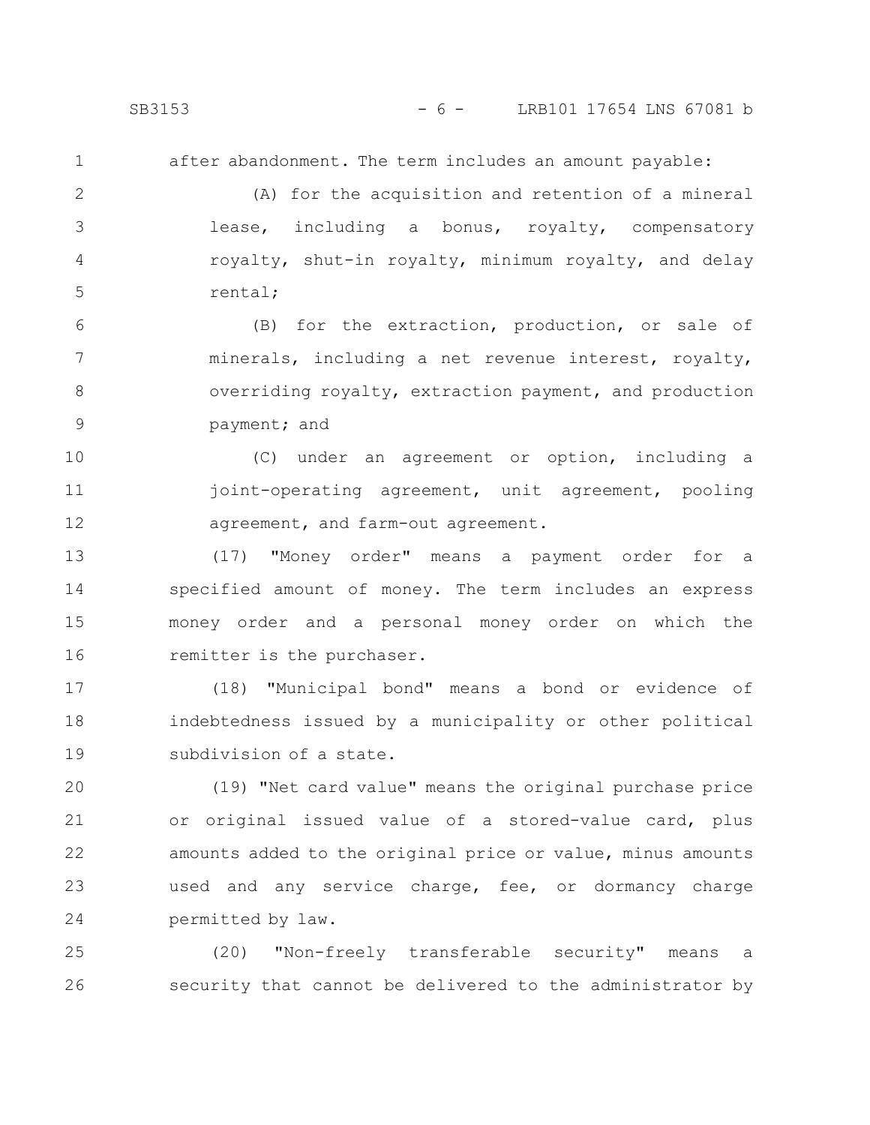after abandonment. The term includes an amount payable:

(A) for the acquisition and retention of a mineral lease, including a bonus, royalty, compensatory royalty, shut-in royalty, minimum royalty, and delay rental; 2 3 4 5

(B) for the extraction, production, or sale of minerals, including a net revenue interest, royalty, overriding royalty, extraction payment, and production payment; and 6 7 8 9

(C) under an agreement or option, including a joint-operating agreement, unit agreement, pooling agreement, and farm-out agreement. 10 11 12

(17) "Money order" means a payment order for a specified amount of money. The term includes an express money order and a personal money order on which the remitter is the purchaser. 13 14 15 16

(18) "Municipal bond" means a bond or evidence of indebtedness issued by a municipality or other political subdivision of a state. 17 18 19

(19) "Net card value" means the original purchase price or original issued value of a stored-value card, plus amounts added to the original price or value, minus amounts used and any service charge, fee, or dormancy charge permitted by law. 20 21 22 23 24

(20) "Non-freely transferable security" means a security that cannot be delivered to the administrator by 25 26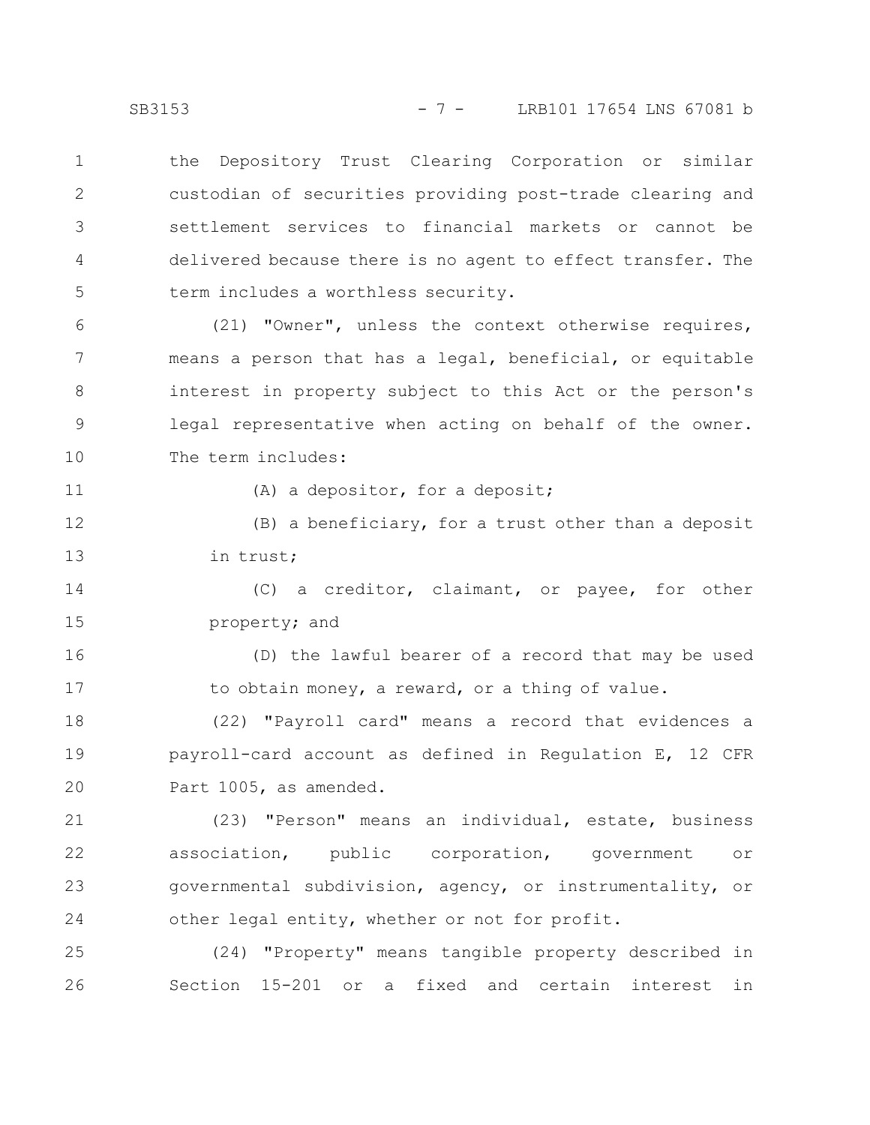the Depository Trust Clearing Corporation or similar custodian of securities providing post-trade clearing and settlement services to financial markets or cannot be delivered because there is no agent to effect transfer. The term includes a worthless security. 1 2 3 4 5

(21) "Owner", unless the context otherwise requires, means a person that has a legal, beneficial, or equitable interest in property subject to this Act or the person's legal representative when acting on behalf of the owner. The term includes: 6 7 8 9 10

11

(A) a depositor, for a deposit;

(B) a beneficiary, for a trust other than a deposit in trust; 12 13

(C) a creditor, claimant, or payee, for other property; and 14 15

(D) the lawful bearer of a record that may be used to obtain money, a reward, or a thing of value. 16 17

(22) "Payroll card" means a record that evidences a payroll-card account as defined in Regulation E, 12 CFR Part 1005, as amended. 18 19 20

(23) "Person" means an individual, estate, business association, public corporation, government or governmental subdivision, agency, or instrumentality, or other legal entity, whether or not for profit. 21 22 23 24

(24) "Property" means tangible property described in Section 15-201 or a fixed and certain interest in 25 26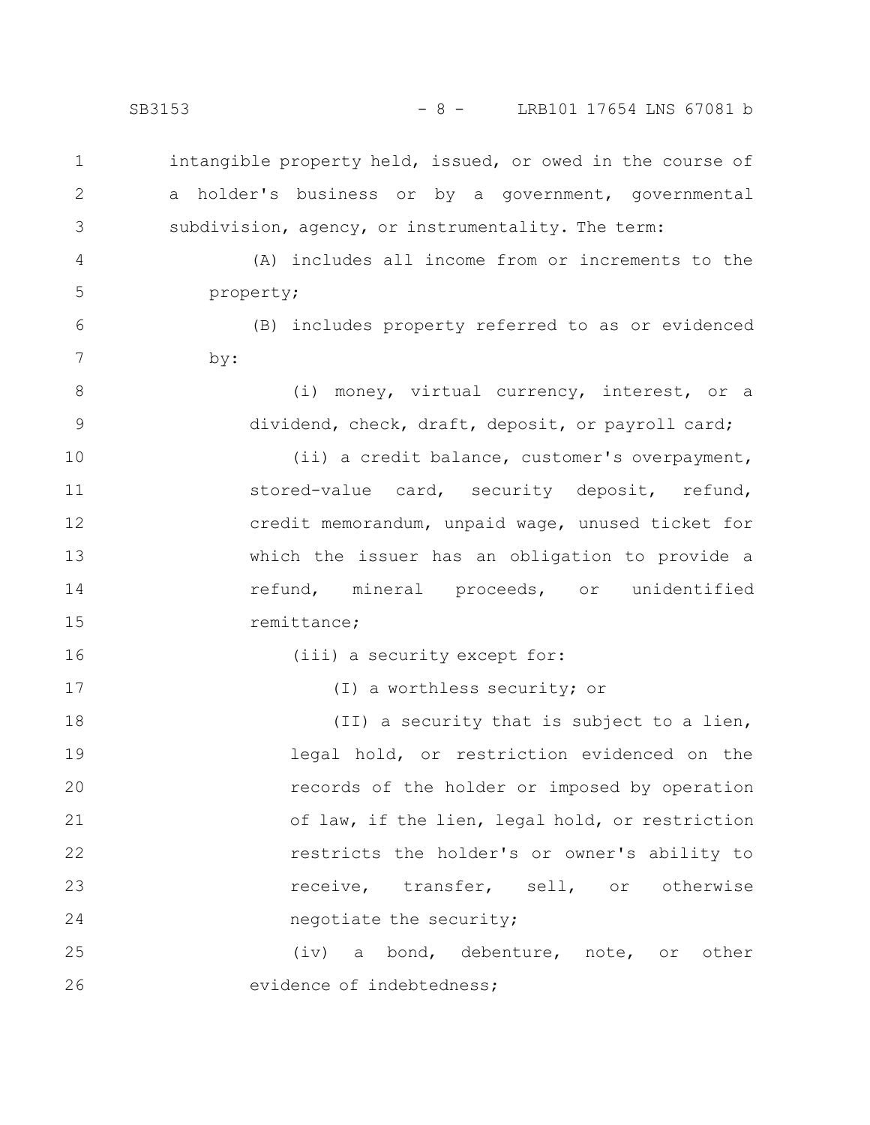SB3153 - 8 - LRB101 17654 LNS 67081 b

intangible property held, issued, or owed in the course of a holder's business or by a government, governmental subdivision, agency, or instrumentality. The term: (A) includes all income from or increments to the property; (B) includes property referred to as or evidenced by: (i) money, virtual currency, interest, or a dividend, check, draft, deposit, or payroll card; (ii) a credit balance, customer's overpayment, stored-value card, security deposit, refund, credit memorandum, unpaid wage, unused ticket for which the issuer has an obligation to provide a refund, mineral proceeds, or unidentified remittance; (iii) a security except for: (I) a worthless security; or (II) a security that is subject to a lien, legal hold, or restriction evidenced on the records of the holder or imposed by operation of law, if the lien, legal hold, or restriction restricts the holder's or owner's ability to receive, transfer, sell, or otherwise negotiate the security; (iv) a bond, debenture, note, or other evidence of indebtedness; 1 2 3 4 5 6 7 8 9 10 11 12 13 14 15 16 17 18 19 20 21 22 23 24 25 26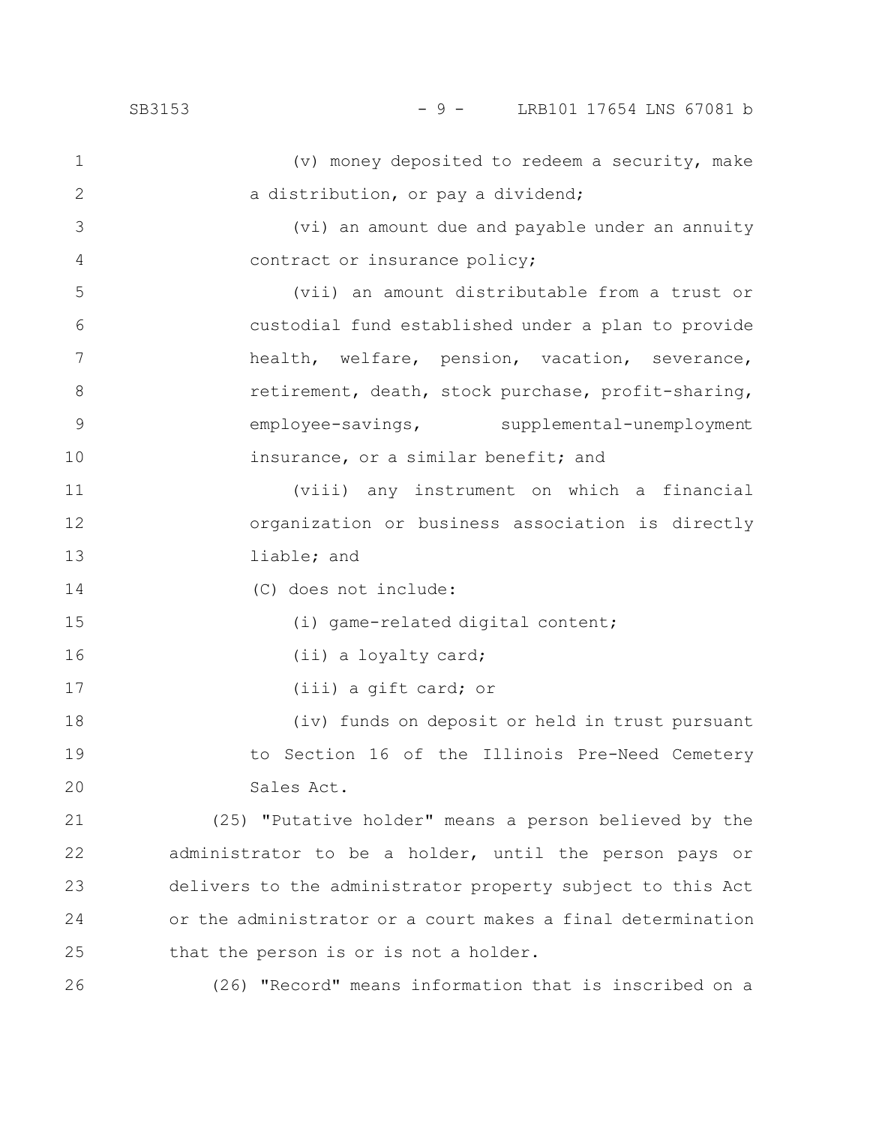16

17

(v) money deposited to redeem a security, make a distribution, or pay a dividend; 1 2

(vi) an amount due and payable under an annuity contract or insurance policy; 3 4

(vii) an amount distributable from a trust or custodial fund established under a plan to provide health, welfare, pension, vacation, severance, retirement, death, stock purchase, profit-sharing, employee-savings, supplemental-unemployment insurance, or a similar benefit; and 5 6 7 8 9 10

(viii) any instrument on which a financial organization or business association is directly liable; and 11 12 13

(C) does not include: 14

(i) game-related digital content;

(ii) a loyalty card;

(iii) a gift card; or

(iv) funds on deposit or held in trust pursuant to Section 16 of the Illinois Pre-Need Cemetery Sales Act. 18 19 20

(25) "Putative holder" means a person believed by the administrator to be a holder, until the person pays or delivers to the administrator property subject to this Act or the administrator or a court makes a final determination that the person is or is not a holder. 21 22 23 24 25

(26) "Record" means information that is inscribed on a 26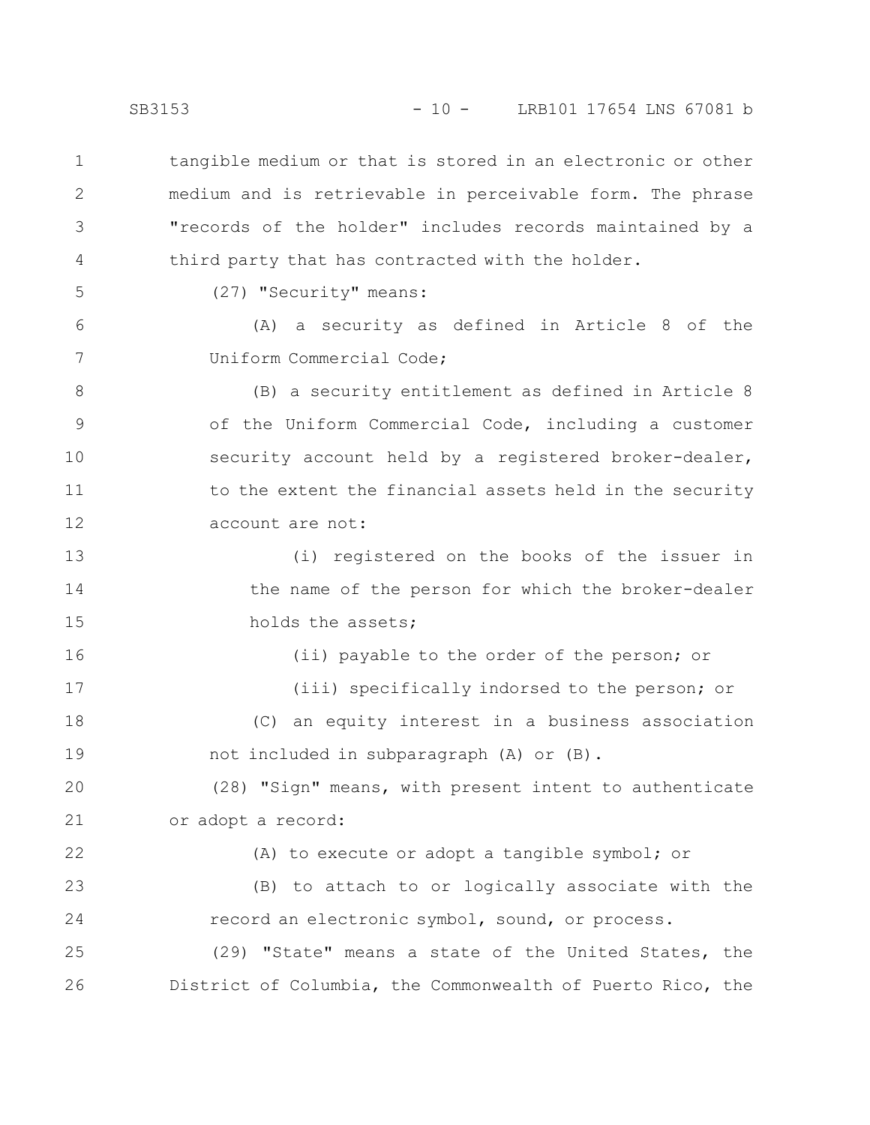tangible medium or that is stored in an electronic or other medium and is retrievable in perceivable form. The phrase "records of the holder" includes records maintained by a third party that has contracted with the holder. 1 2 3 4

5

6

7

(27) "Security" means:

(A) a security as defined in Article 8 of the Uniform Commercial Code;

(B) a security entitlement as defined in Article 8 of the Uniform Commercial Code, including a customer security account held by a registered broker-dealer, to the extent the financial assets held in the security account are not: 8 9 10 11 12

(i) registered on the books of the issuer in the name of the person for which the broker-dealer holds the assets; 13 14 15

(ii) payable to the order of the person; or (iii) specifically indorsed to the person; or (C) an equity interest in a business association not included in subparagraph (A) or (B). 16 17 18 19

(28) "Sign" means, with present intent to authenticate or adopt a record: 20 21

(A) to execute or adopt a tangible symbol; or (B) to attach to or logically associate with the record an electronic symbol, sound, or process. (29) "State" means a state of the United States, the District of Columbia, the Commonwealth of Puerto Rico, the 22 23 24 25 26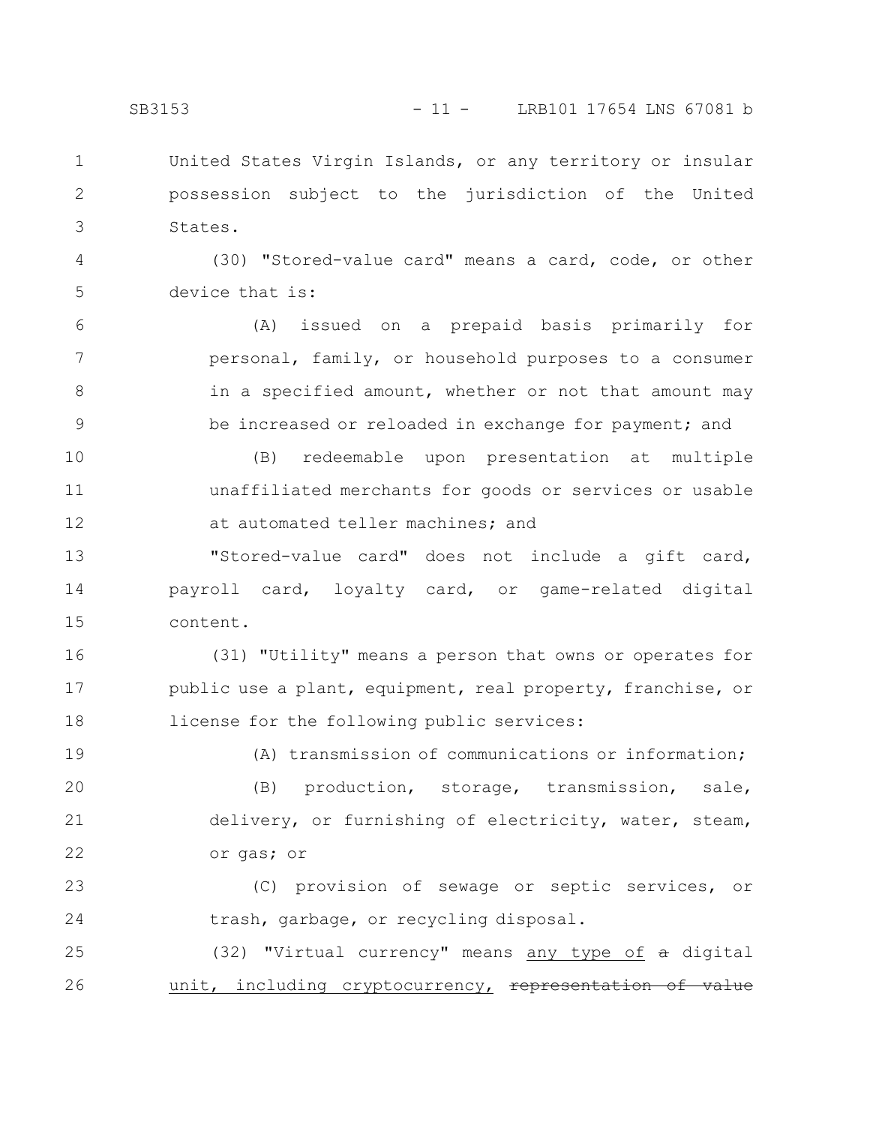United States Virgin Islands, or any territory or insular possession subject to the jurisdiction of the United States. 1 2 3

(30) "Stored-value card" means a card, code, or other device that is: 4 5

(A) issued on a prepaid basis primarily for personal, family, or household purposes to a consumer in a specified amount, whether or not that amount may be increased or reloaded in exchange for payment; and 6 7 8 9

(B) redeemable upon presentation at multiple unaffiliated merchants for goods or services or usable at automated teller machines; and 10 11 12

"Stored-value card" does not include a gift card, payroll card, loyalty card, or game-related digital content. 13 14 15

(31) "Utility" means a person that owns or operates for public use a plant, equipment, real property, franchise, or license for the following public services: 16 17 18

19

(A) transmission of communications or information;

(B) production, storage, transmission, sale, delivery, or furnishing of electricity, water, steam, or gas; or 20 21 22

(C) provision of sewage or septic services, or trash, garbage, or recycling disposal. 23 24

(32) "Virtual currency" means any type of a digital unit, including cryptocurrency, representation 25 26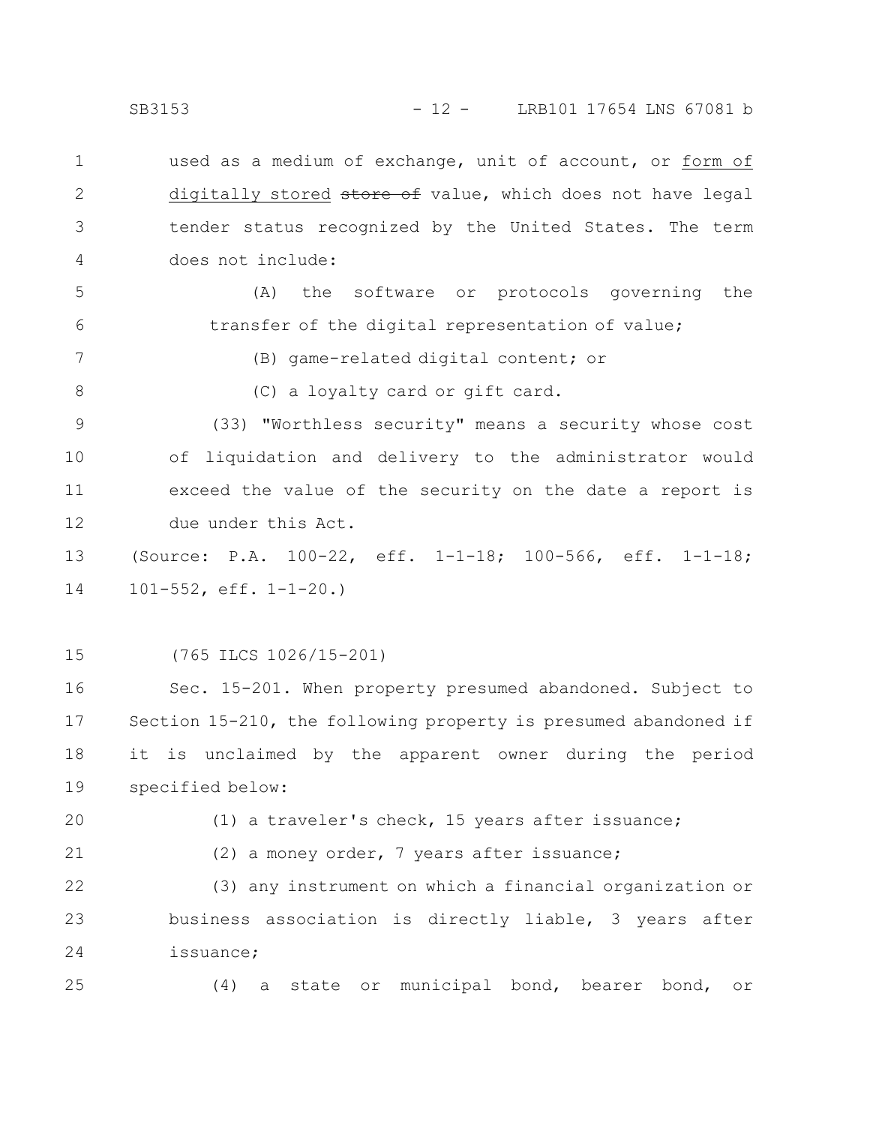SB3153 - 12 - LRB101 17654 LNS 67081 b

used as a medium of exchange, unit of account, or form of digitally stored store of value, which does not have legal tender status recognized by the United States. The term does not include: 1 2 3 4

(A) the software or protocols governing the transfer of the digital representation of value; 5 6

(B) game-related digital content; or

7

8

(C) a loyalty card or gift card.

(33) "Worthless security" means a security whose cost of liquidation and delivery to the administrator would exceed the value of the security on the date a report is due under this Act. 9 10 11 12

(Source: P.A. 100-22, eff. 1-1-18; 100-566, eff. 1-1-18; 101-552, eff. 1-1-20.) 13 14

(765 ILCS 1026/15-201) 15

Sec. 15-201. When property presumed abandoned. Subject to Section 15-210, the following property is presumed abandoned if it is unclaimed by the apparent owner during the period specified below: 16 17 18 19

20

(1) a traveler's check, 15 years after issuance;

21

(2) a money order, 7 years after issuance;

(3) any instrument on which a financial organization or business association is directly liable, 3 years after issuance; 22 23 24

25

(4) a state or municipal bond, bearer bond, or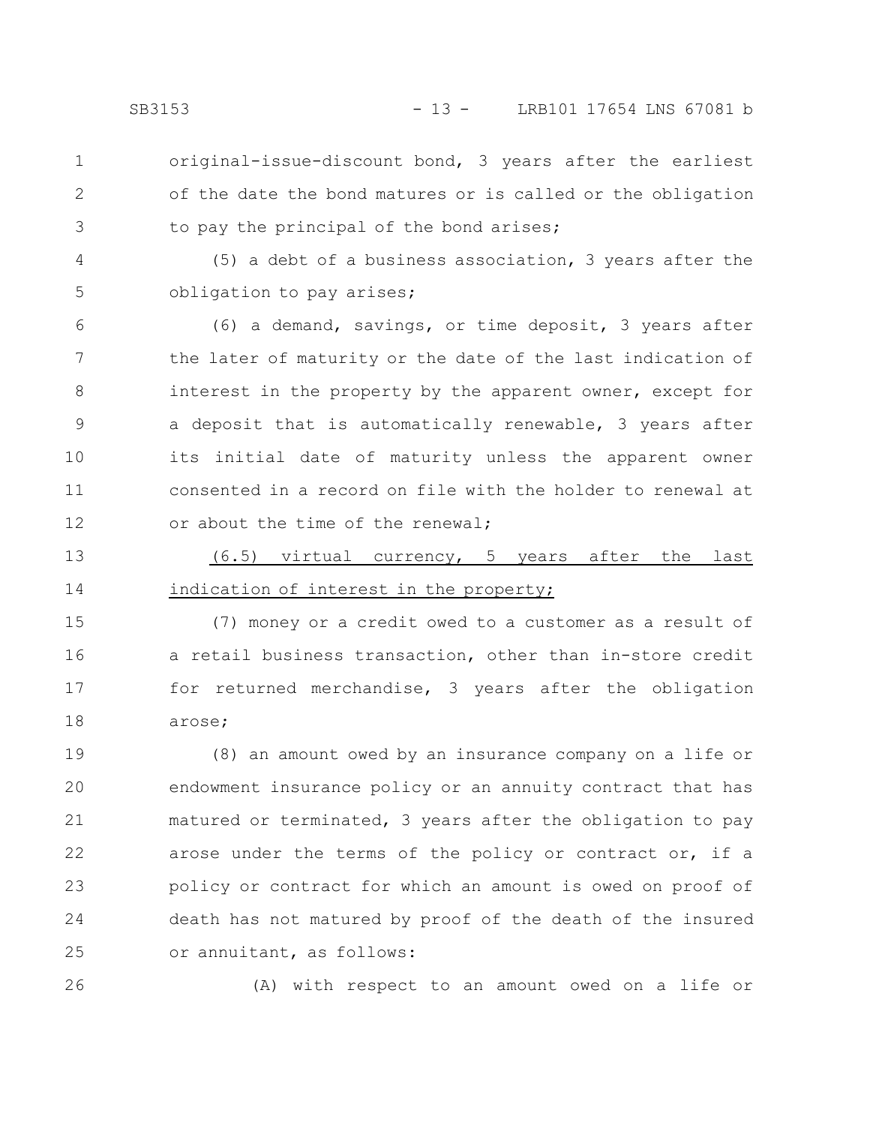2

3

- original-issue-discount bond, 3 years after the earliest of the date the bond matures or is called or the obligation to pay the principal of the bond arises;
- (5) a debt of a business association, 3 years after the obligation to pay arises; 4 5
- (6) a demand, savings, or time deposit, 3 years after the later of maturity or the date of the last indication of interest in the property by the apparent owner, except for a deposit that is automatically renewable, 3 years after its initial date of maturity unless the apparent owner consented in a record on file with the holder to renewal at or about the time of the renewal; 6 7 8 9 10 11 12
- (6.5) virtual currency, 5 years after the last indication of interest in the property; 13 14

(7) money or a credit owed to a customer as a result of a retail business transaction, other than in-store credit for returned merchandise, 3 years after the obligation arose; 15 16 17 18

(8) an amount owed by an insurance company on a life or endowment insurance policy or an annuity contract that has matured or terminated, 3 years after the obligation to pay arose under the terms of the policy or contract or, if a policy or contract for which an amount is owed on proof of death has not matured by proof of the death of the insured or annuitant, as follows: 19 20 21 22 23 24 25

26

(A) with respect to an amount owed on a life or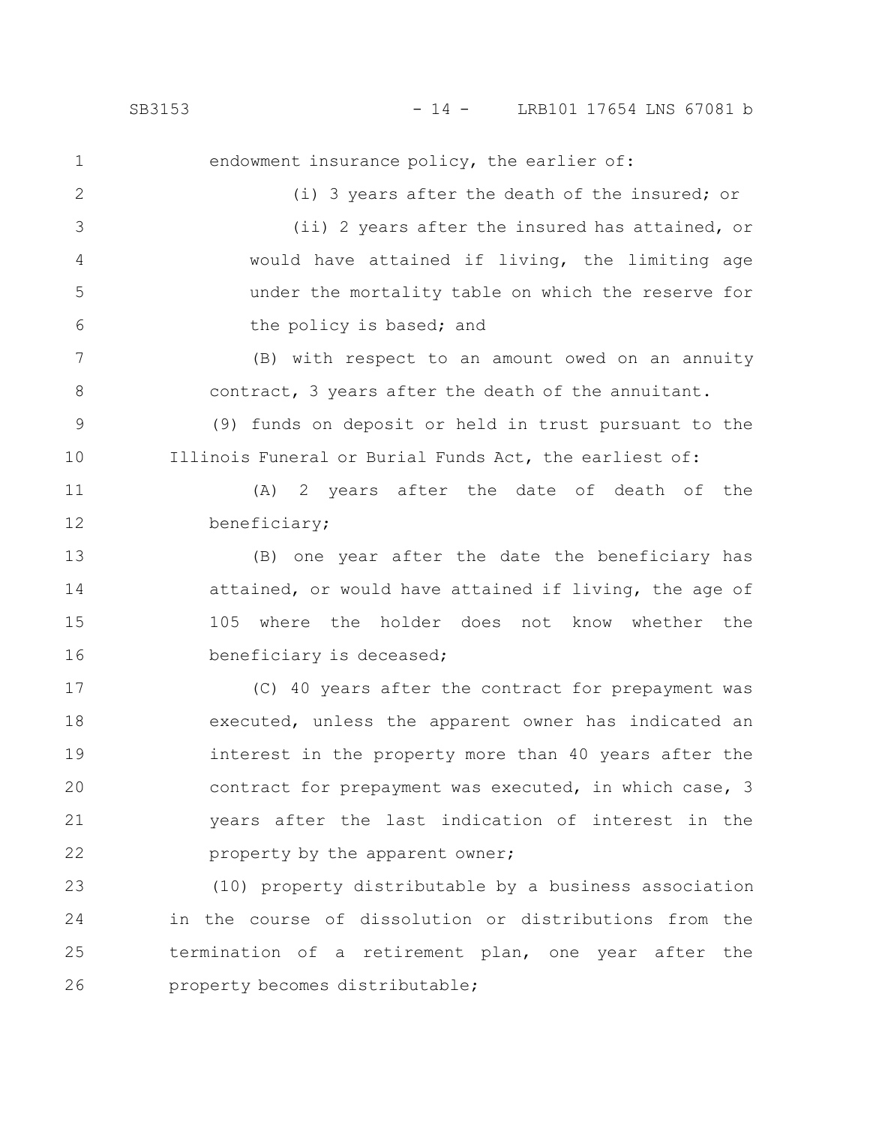endowment insurance policy, the earlier of: (i) 3 years after the death of the insured; or (ii) 2 years after the insured has attained, or would have attained if living, the limiting age under the mortality table on which the reserve for the policy is based; and (B) with respect to an amount owed on an annuity contract, 3 years after the death of the annuitant. (9) funds on deposit or held in trust pursuant to the Illinois Funeral or Burial Funds Act, the earliest of: (A) 2 years after the date of death of the beneficiary; (B) one year after the date the beneficiary has attained, or would have attained if living, the age of 105 where the holder does not know whether the beneficiary is deceased; (C) 40 years after the contract for prepayment was executed, unless the apparent owner has indicated an interest in the property more than 40 years after the contract for prepayment was executed, in which case, 3 years after the last indication of interest in the property by the apparent owner; (10) property distributable by a business association in the course of dissolution or distributions from the 1 2 3 4 5 6 7 8 9 10 11 12 13 14 15 16 17 18 19 20 21 22 23 24

termination of a retirement plan, one year after the property becomes distributable; 25 26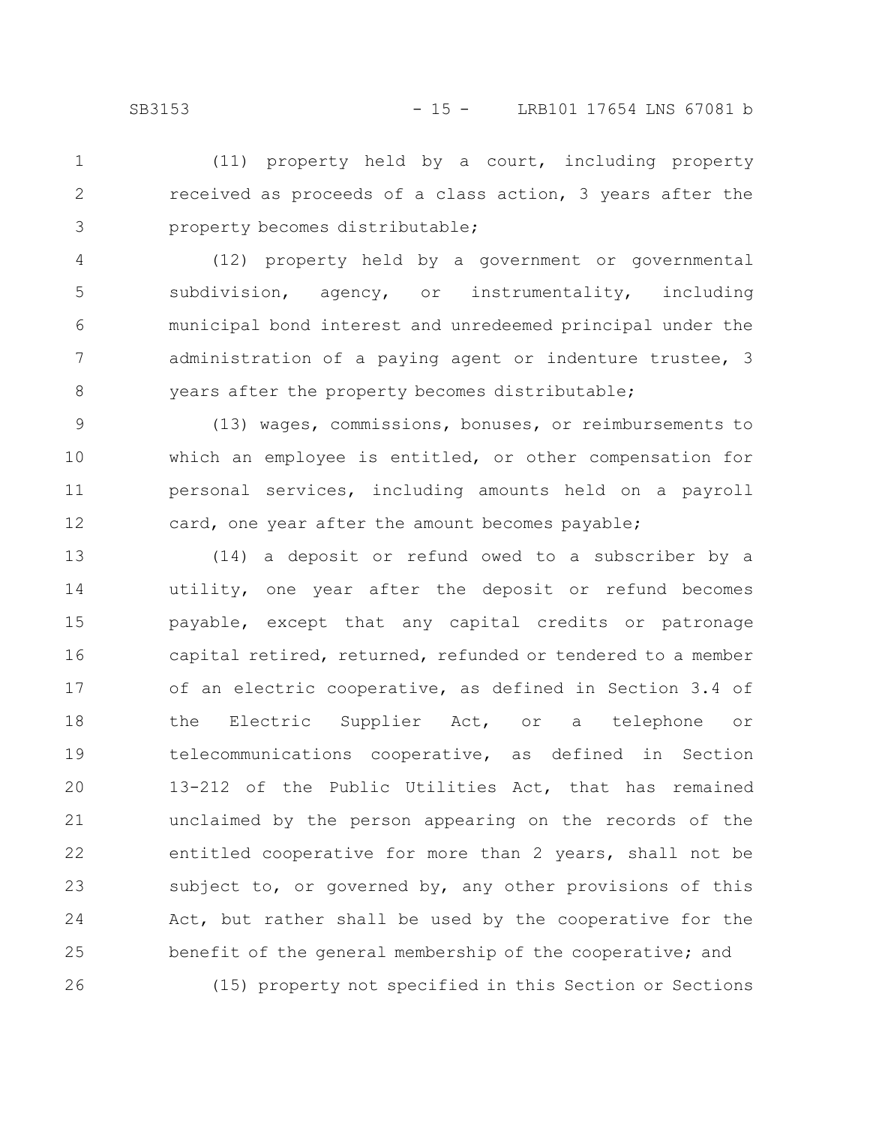(11) property held by a court, including property received as proceeds of a class action, 3 years after the property becomes distributable; 1 2 3

(12) property held by a government or governmental subdivision, agency, or instrumentality, including municipal bond interest and unredeemed principal under the administration of a paying agent or indenture trustee, 3 years after the property becomes distributable; 4 5 6 7 8

(13) wages, commissions, bonuses, or reimbursements to which an employee is entitled, or other compensation for personal services, including amounts held on a payroll card, one year after the amount becomes payable; 9 10 11 12

(14) a deposit or refund owed to a subscriber by a utility, one year after the deposit or refund becomes payable, except that any capital credits or patronage capital retired, returned, refunded or tendered to a member of an electric cooperative, as defined in Section 3.4 of the Electric Supplier Act, or a telephone or telecommunications cooperative, as defined in Section 13-212 of the Public Utilities Act, that has remained unclaimed by the person appearing on the records of the entitled cooperative for more than 2 years, shall not be subject to, or governed by, any other provisions of this Act, but rather shall be used by the cooperative for the benefit of the general membership of the cooperative; and (15) property not specified in this Section or Sections 13 14 15 16 17 18 19 20 21 22 23 24 25 26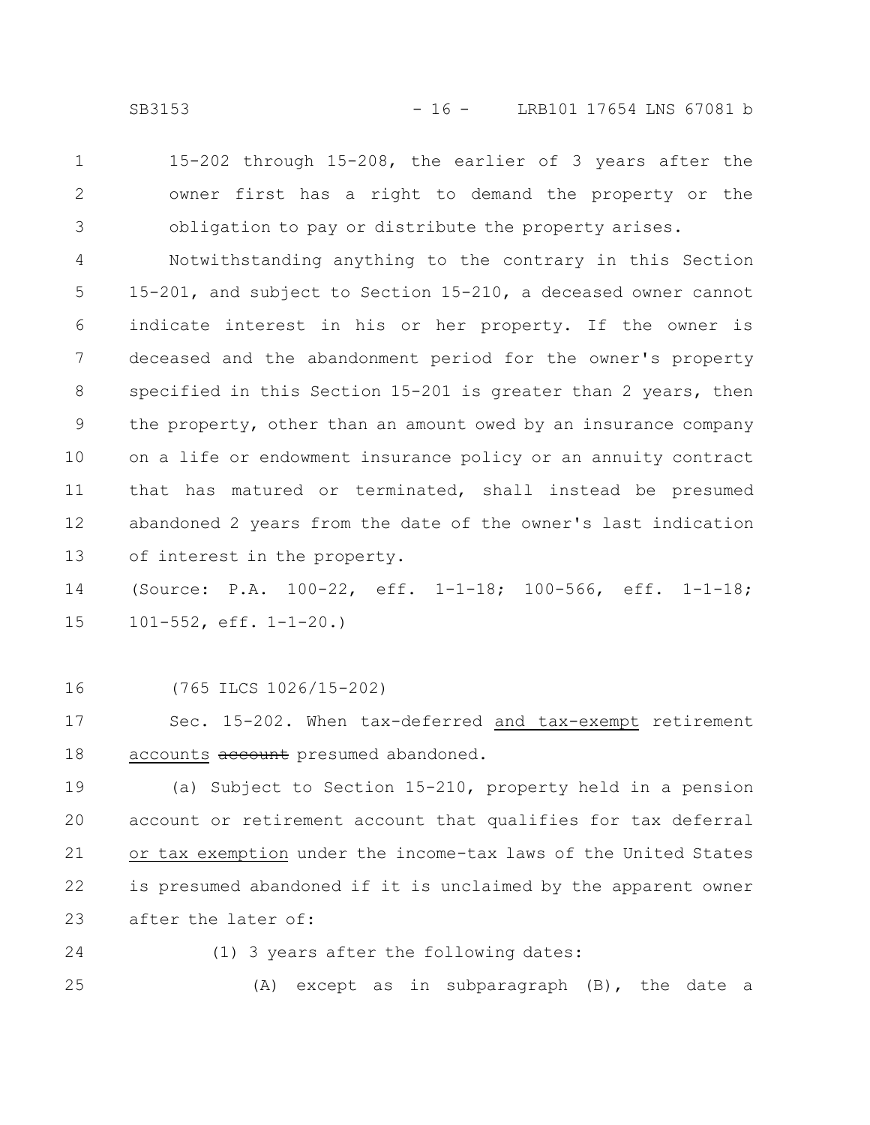- 
- 15-202 through 15-208, the earlier of 3 years after the owner first has a right to demand the property or the obligation to pay or distribute the property arises. 1 2 3

Notwithstanding anything to the contrary in this Section 15-201, and subject to Section 15-210, a deceased owner cannot indicate interest in his or her property. If the owner is deceased and the abandonment period for the owner's property specified in this Section 15-201 is greater than 2 years, then the property, other than an amount owed by an insurance company on a life or endowment insurance policy or an annuity contract that has matured or terminated, shall instead be presumed abandoned 2 years from the date of the owner's last indication of interest in the property. 4 5 6 7 8 9 10 11 12 13

(Source: P.A. 100-22, eff. 1-1-18; 100-566, eff. 1-1-18; 101-552, eff. 1-1-20.) 14 15

(765 ILCS 1026/15-202) 16

Sec. 15-202. When tax-deferred and tax-exempt retirement accounts account presumed abandoned. 17 18

(a) Subject to Section 15-210, property held in a pension account or retirement account that qualifies for tax deferral or tax exemption under the income-tax laws of the United States is presumed abandoned if it is unclaimed by the apparent owner after the later of: 19 20 21 22 23

- 24
- (1) 3 years after the following dates:

(A) except as in subparagraph (B), the date a 25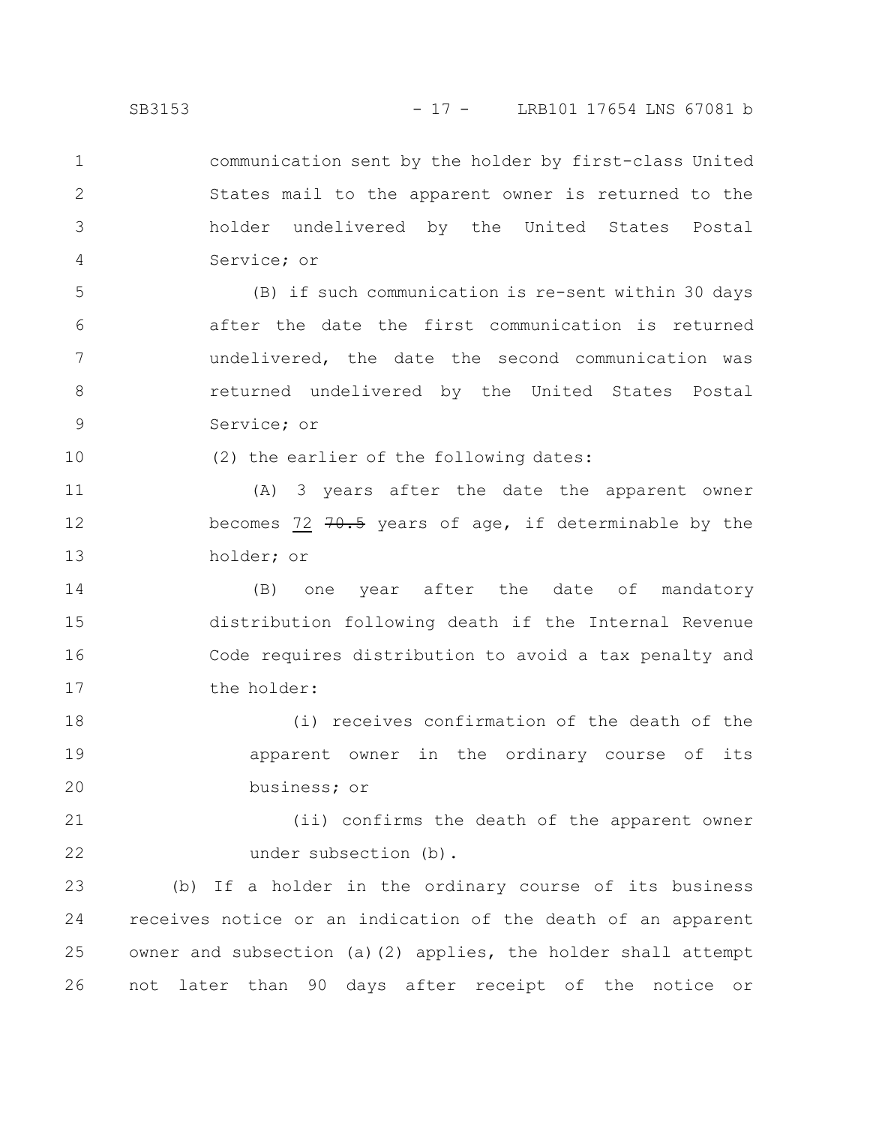communication sent by the holder by first-class United States mail to the apparent owner is returned to the holder undelivered by the United States Postal Service; or 1 2 3 4

(B) if such communication is re-sent within 30 days after the date the first communication is returned undelivered, the date the second communication was returned undelivered by the United States Postal Service; or 5 6 7 8 9

(2) the earlier of the following dates:

(A) 3 years after the date the apparent owner becomes 72  $70.5$  years of age, if determinable by the holder; or 11 12 13

(B) one year after the date of mandatory distribution following death if the Internal Revenue Code requires distribution to avoid a tax penalty and the holder: 14 15 16 17

(i) receives confirmation of the death of the apparent owner in the ordinary course of its business; or 18 19 20

(ii) confirms the death of the apparent owner under subsection (b). 21 22

(b) If a holder in the ordinary course of its business receives notice or an indication of the death of an apparent owner and subsection (a)(2) applies, the holder shall attempt not later than 90 days after receipt of the notice or 23 24 25 26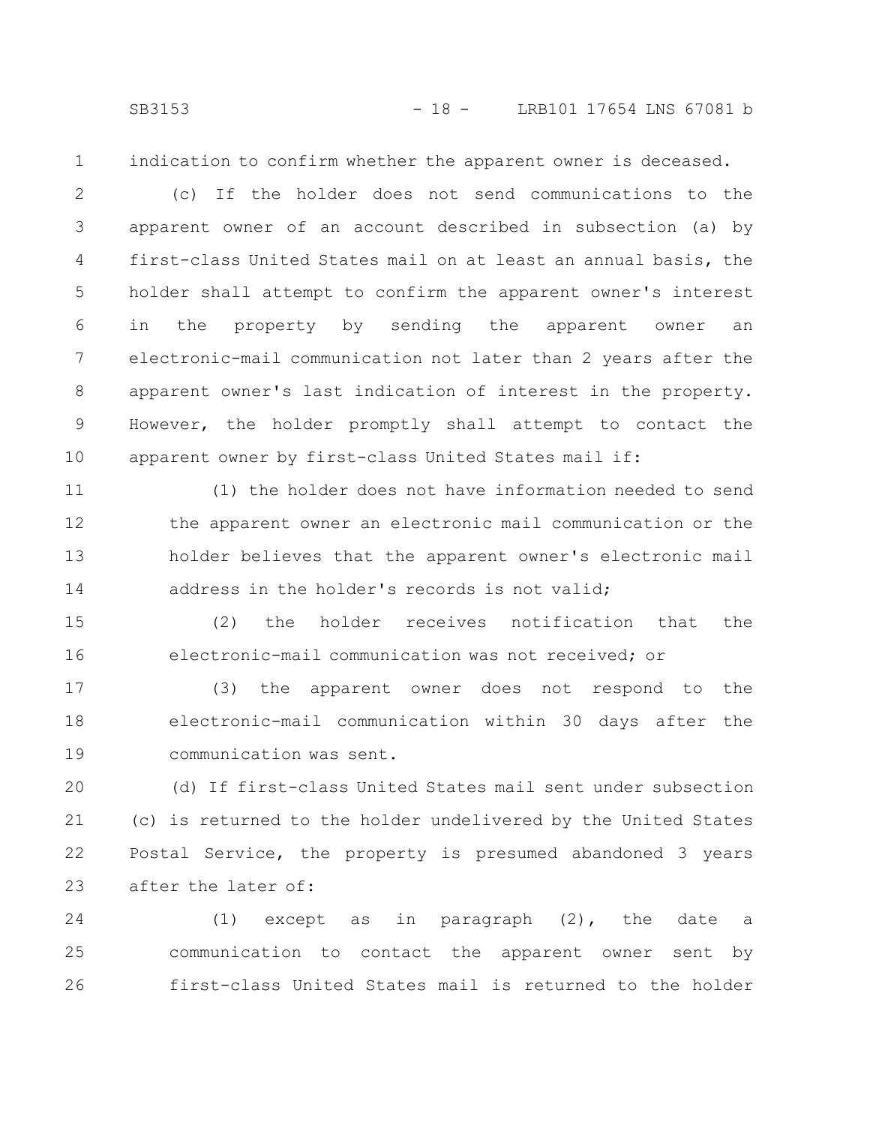indication to confirm whether the apparent owner is deceased.

(c) If the holder does not send communications to the apparent owner of an account described in subsection (a) by first-class United States mail on at least an annual basis, the holder shall attempt to confirm the apparent owner's interest in the property by sending the apparent owner an electronic-mail communication not later than 2 years after the apparent owner's last indication of interest in the property. However, the holder promptly shall attempt to contact the apparent owner by first-class United States mail if: 2 3 4 5 6 7 8 9 10

(1) the holder does not have information needed to send the apparent owner an electronic mail communication or the holder believes that the apparent owner's electronic mail address in the holder's records is not valid; 11 12 13 14

(2) the holder receives notification that the electronic-mail communication was not received; or 15 16

(3) the apparent owner does not respond to the electronic-mail communication within 30 days after the communication was sent. 17 18 19

(d) If first-class United States mail sent under subsection (c) is returned to the holder undelivered by the United States Postal Service, the property is presumed abandoned 3 years after the later of: 20 21 22 23

(1) except as in paragraph (2), the date a communication to contact the apparent owner sent by first-class United States mail is returned to the holder 24 25 26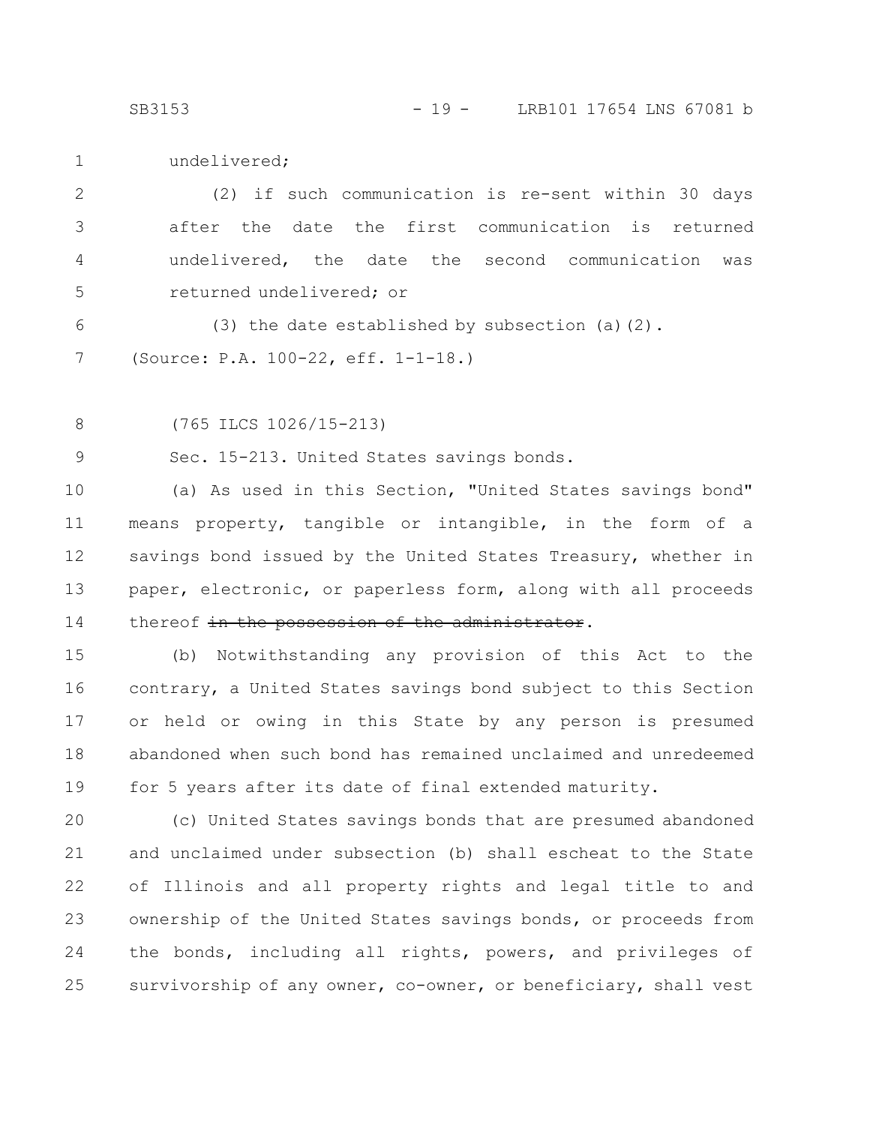SB3153 - 19 - LRB101 17654 LNS 67081 b

undelivered; 1

(2) if such communication is re-sent within 30 days after the date the first communication is returned undelivered, the date the second communication was returned undelivered; or 2 3 4 5

(3) the date established by subsection (a)(2). (Source: P.A. 100-22, eff. 1-1-18.) 6 7

(765 ILCS 1026/15-213) 8

Sec. 15-213. United States savings bonds. 9

(a) As used in this Section, "United States savings bond" means property, tangible or intangible, in the form of a savings bond issued by the United States Treasury, whether in paper, electronic, or paperless form, along with all proceeds thereof in the possession of the administrator. 10 11 12 13 14

(b) Notwithstanding any provision of this Act to the contrary, a United States savings bond subject to this Section or held or owing in this State by any person is presumed abandoned when such bond has remained unclaimed and unredeemed for 5 years after its date of final extended maturity. 15 16 17 18 19

(c) United States savings bonds that are presumed abandoned and unclaimed under subsection (b) shall escheat to the State of Illinois and all property rights and legal title to and ownership of the United States savings bonds, or proceeds from the bonds, including all rights, powers, and privileges of survivorship of any owner, co-owner, or beneficiary, shall vest 20 21 22 23 24 25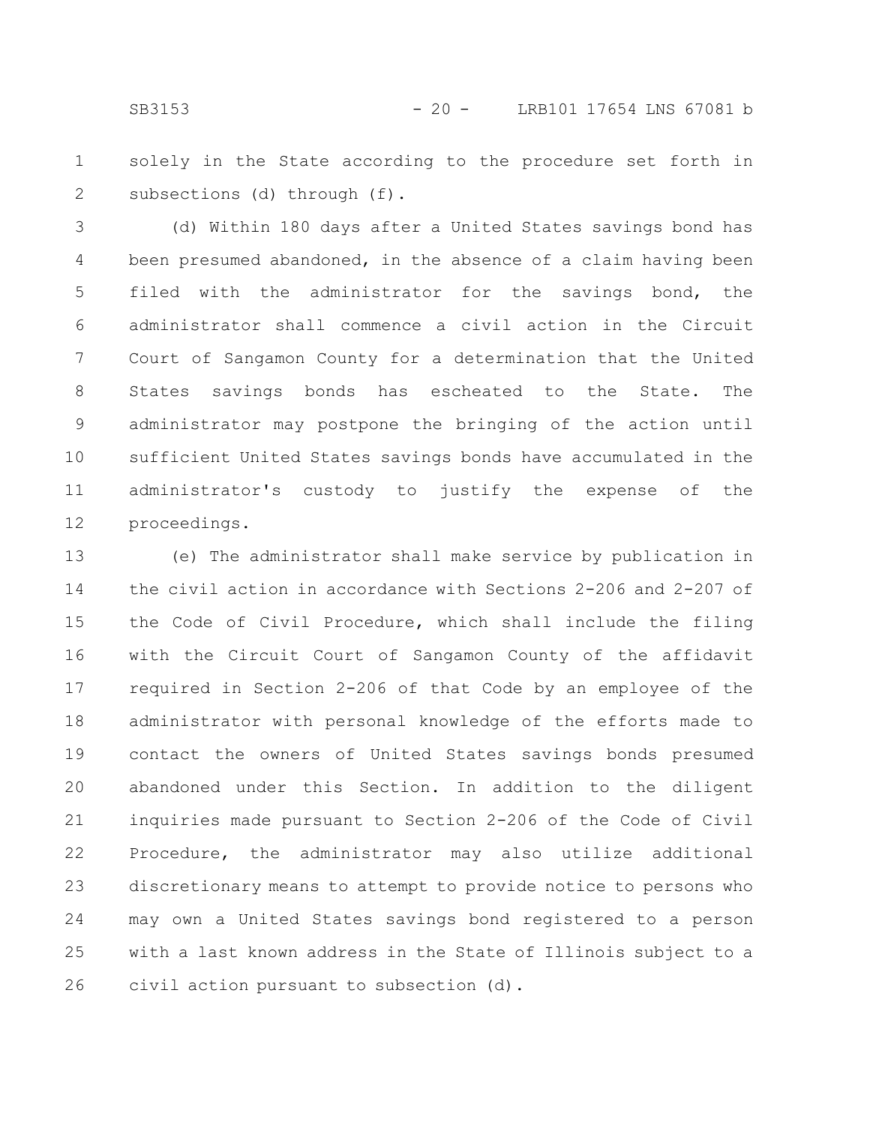solely in the State according to the procedure set forth in subsections (d) through (f). 1 2

(d) Within 180 days after a United States savings bond has been presumed abandoned, in the absence of a claim having been filed with the administrator for the savings bond, the administrator shall commence a civil action in the Circuit Court of Sangamon County for a determination that the United States savings bonds has escheated to the State. The administrator may postpone the bringing of the action until sufficient United States savings bonds have accumulated in the administrator's custody to justify the expense of the proceedings. 3 4 5 6 7 8 9 10 11 12

(e) The administrator shall make service by publication in the civil action in accordance with Sections 2-206 and 2-207 of the Code of Civil Procedure, which shall include the filing with the Circuit Court of Sangamon County of the affidavit required in Section 2-206 of that Code by an employee of the administrator with personal knowledge of the efforts made to contact the owners of United States savings bonds presumed abandoned under this Section. In addition to the diligent inquiries made pursuant to Section 2-206 of the Code of Civil Procedure, the administrator may also utilize additional discretionary means to attempt to provide notice to persons who may own a United States savings bond registered to a person with a last known address in the State of Illinois subject to a civil action pursuant to subsection (d). 13 14 15 16 17 18 19 20 21 22 23 24 25 26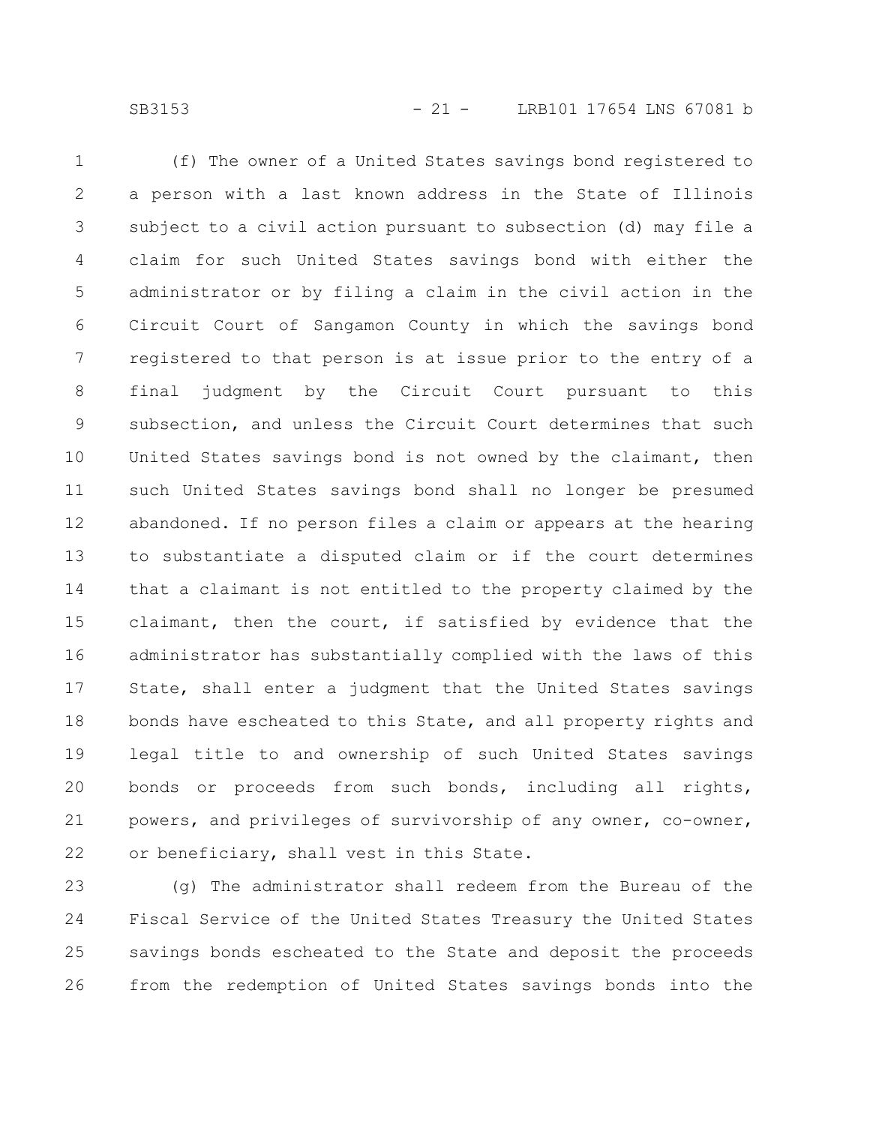(f) The owner of a United States savings bond registered to a person with a last known address in the State of Illinois subject to a civil action pursuant to subsection (d) may file a claim for such United States savings bond with either the administrator or by filing a claim in the civil action in the Circuit Court of Sangamon County in which the savings bond registered to that person is at issue prior to the entry of a final judgment by the Circuit Court pursuant to this subsection, and unless the Circuit Court determines that such United States savings bond is not owned by the claimant, then such United States savings bond shall no longer be presumed abandoned. If no person files a claim or appears at the hearing to substantiate a disputed claim or if the court determines that a claimant is not entitled to the property claimed by the claimant, then the court, if satisfied by evidence that the administrator has substantially complied with the laws of this State, shall enter a judgment that the United States savings bonds have escheated to this State, and all property rights and legal title to and ownership of such United States savings bonds or proceeds from such bonds, including all rights, powers, and privileges of survivorship of any owner, co-owner, or beneficiary, shall vest in this State. 1 2 3 4 5 6 7 8 9 10 11 12 13 14 15 16 17 18 19 20 21 22

(g) The administrator shall redeem from the Bureau of the Fiscal Service of the United States Treasury the United States savings bonds escheated to the State and deposit the proceeds from the redemption of United States savings bonds into the 23 24 25 26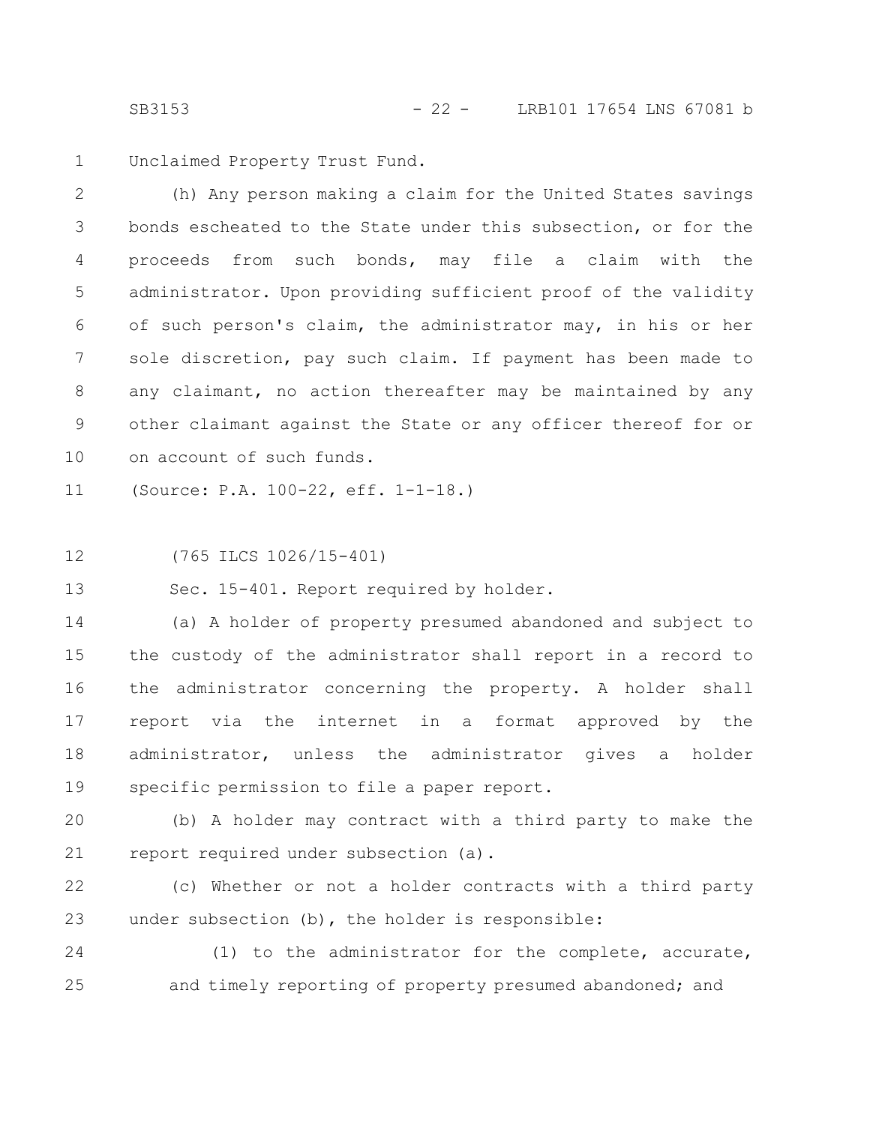Unclaimed Property Trust Fund. 1

(h) Any person making a claim for the United States savings bonds escheated to the State under this subsection, or for the proceeds from such bonds, may file a claim with the administrator. Upon providing sufficient proof of the validity of such person's claim, the administrator may, in his or her sole discretion, pay such claim. If payment has been made to any claimant, no action thereafter may be maintained by any other claimant against the State or any officer thereof for or on account of such funds. 2 3 4 5 6 7 8 9 10

(Source: P.A. 100-22, eff. 1-1-18.) 11

(765 ILCS 1026/15-401) 12

Sec. 15-401. Report required by holder. 13

(a) A holder of property presumed abandoned and subject to the custody of the administrator shall report in a record to the administrator concerning the property. A holder shall report via the internet in a format approved by the administrator, unless the administrator gives a holder specific permission to file a paper report. 14 15 16 17 18 19

(b) A holder may contract with a third party to make the report required under subsection (a). 20 21

(c) Whether or not a holder contracts with a third party under subsection (b), the holder is responsible: 22 23

(1) to the administrator for the complete, accurate, and timely reporting of property presumed abandoned; and 24 25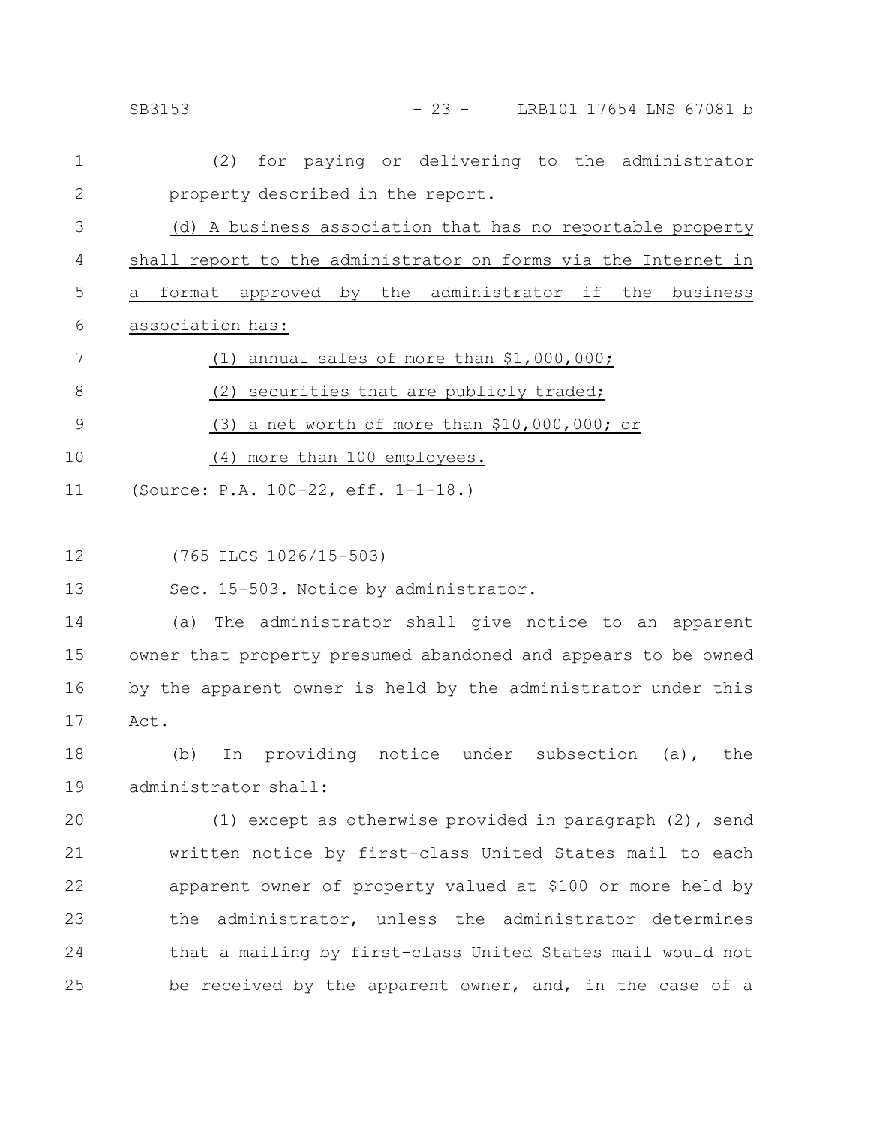|              | $-23 -$<br>LRB101 17654 LNS 67081 b<br>SB3153                  |
|--------------|----------------------------------------------------------------|
| 1            | for paying or delivering to the administrator<br>(2)           |
| $\mathbf{2}$ | property described in the report.                              |
| 3            | (d) A business association that has no reportable property     |
| 4            | shall report to the administrator on forms via the Internet in |
| 5            | a format approved by the administrator if the business         |
| 6            | association has:                                               |
| 7            | (1) annual sales of more than \$1,000,000;                     |
| $8\,$        | (2) securities that are publicly traded;                       |
| 9            | $(3)$ a net worth of more than \$10,000,000; or                |
| 10           | (4) more than 100 employees.                                   |
| 11           | (Source: P.A. 100-22, eff. 1-1-18.)                            |
|              |                                                                |
| 12           | (765 ILCS 1026/15-503)                                         |
| 13           | Sec. 15-503. Notice by administrator.                          |
| 14           | The administrator shall give notice to an apparent<br>(a)      |
| 15           | owner that property presumed abandoned and appears to be owned |
| 16           | by the apparent owner is held by the administrator under this  |
| 17           | Act.                                                           |
| 18           | In providing notice under subsection (a), the<br>(b)           |
| 19           | administrator shall:                                           |
| 20           | (1) except as otherwise provided in paragraph (2), send        |
| 21           | written notice by first-class United States mail to each       |
| 22           | apparent owner of property valued at \$100 or more held by     |
| 23           | the administrator, unless the administrator determines         |
| 24           | that a mailing by first-class United States mail would not     |
| 25           | be received by the apparent owner, and, in the case of a       |
|              |                                                                |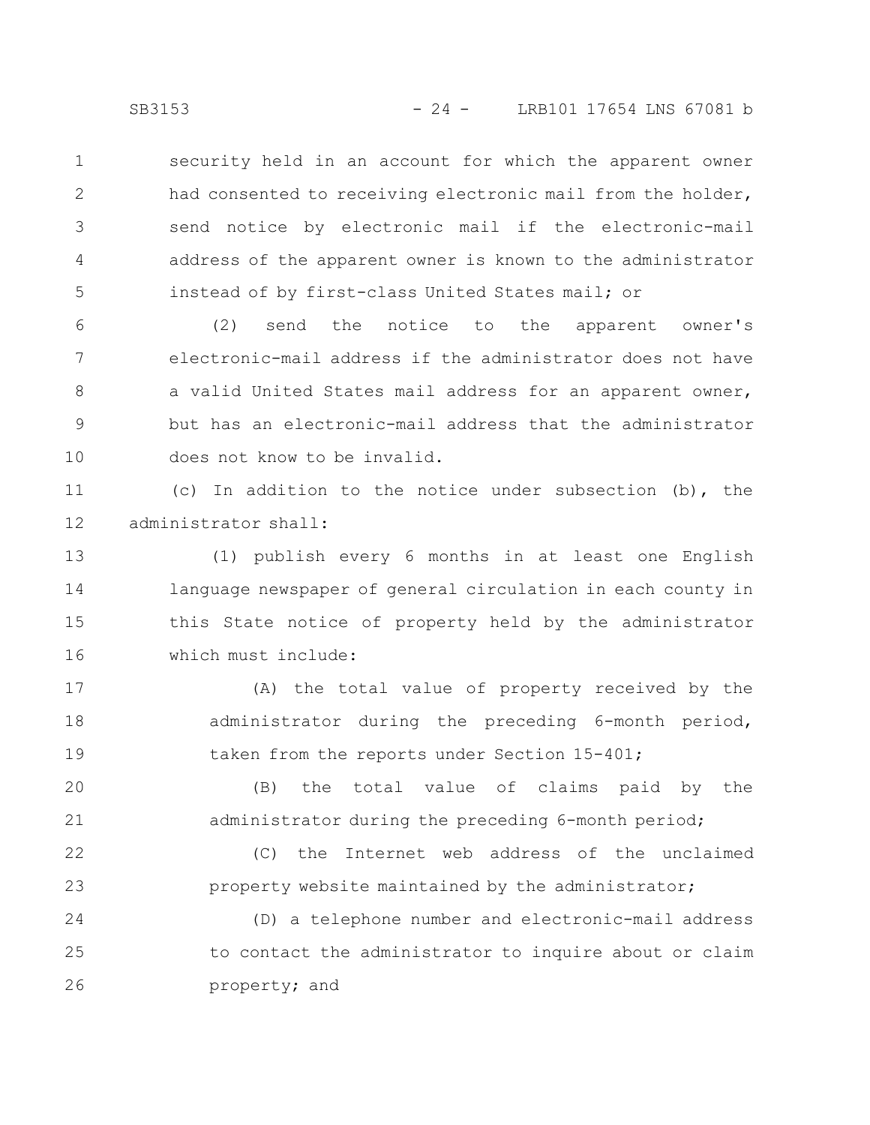security held in an account for which the apparent owner had consented to receiving electronic mail from the holder, send notice by electronic mail if the electronic-mail address of the apparent owner is known to the administrator instead of by first-class United States mail; or 1 2 3 4 5

(2) send the notice to the apparent owner's electronic-mail address if the administrator does not have a valid United States mail address for an apparent owner, but has an electronic-mail address that the administrator does not know to be invalid. 6 7 8 9 10

(c) In addition to the notice under subsection (b), the administrator shall: 11 12

(1) publish every 6 months in at least one English language newspaper of general circulation in each county in this State notice of property held by the administrator which must include: 13 14 15 16

(A) the total value of property received by the administrator during the preceding 6-month period, taken from the reports under Section 15-401; 17 18 19

(B) the total value of claims paid by the administrator during the preceding 6-month period; 20 21

(C) the Internet web address of the unclaimed property website maintained by the administrator; 22 23

(D) a telephone number and electronic-mail address to contact the administrator to inquire about or claim property; and 24 25 26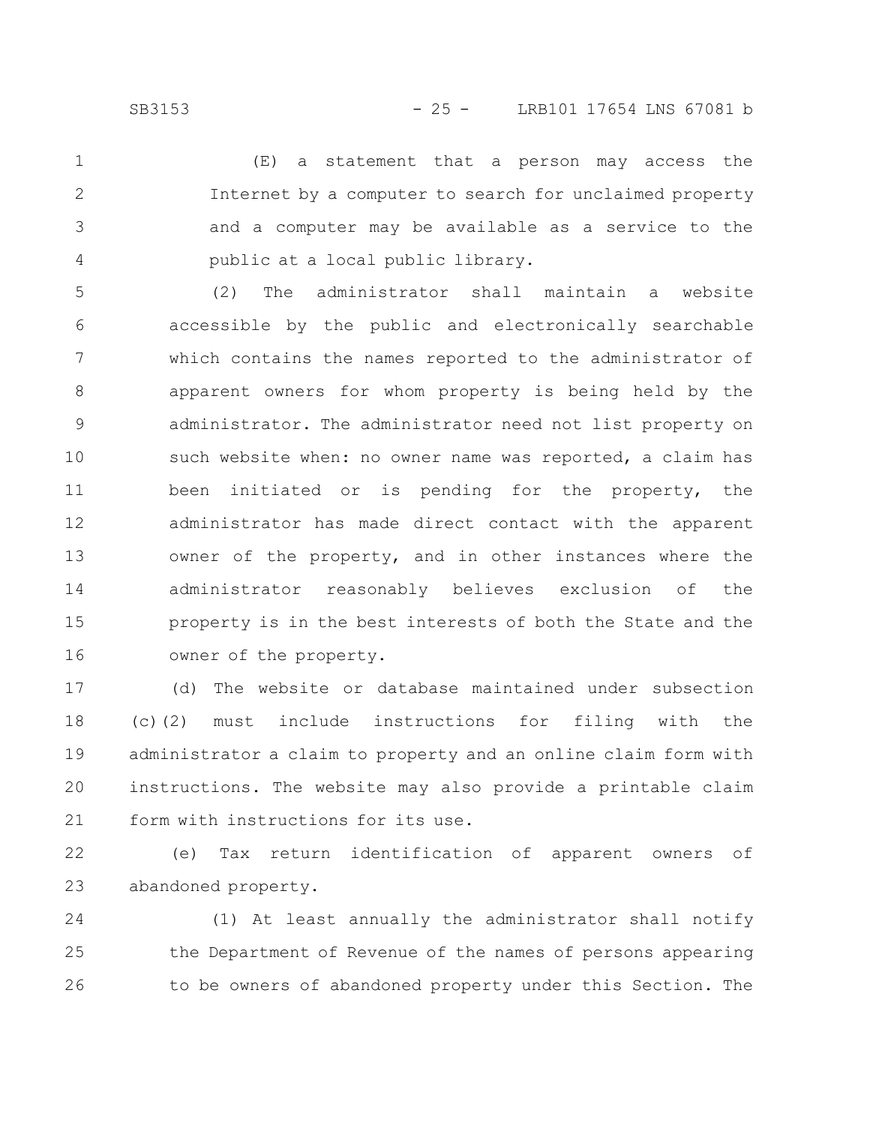(E) a statement that a person may access the Internet by a computer to search for unclaimed property and a computer may be available as a service to the public at a local public library. 1 2 3 4

(2) The administrator shall maintain a website accessible by the public and electronically searchable which contains the names reported to the administrator of apparent owners for whom property is being held by the administrator. The administrator need not list property on such website when: no owner name was reported, a claim has been initiated or is pending for the property, the administrator has made direct contact with the apparent owner of the property, and in other instances where the administrator reasonably believes exclusion of the property is in the best interests of both the State and the owner of the property. 5 6 7 8 9 10 11 12 13 14 15 16

(d) The website or database maintained under subsection (c)(2) must include instructions for filing with the administrator a claim to property and an online claim form with instructions. The website may also provide a printable claim form with instructions for its use. 17 18 19 20 21

(e) Tax return identification of apparent owners of abandoned property. 22 23

(1) At least annually the administrator shall notify the Department of Revenue of the names of persons appearing to be owners of abandoned property under this Section. The 24 25 26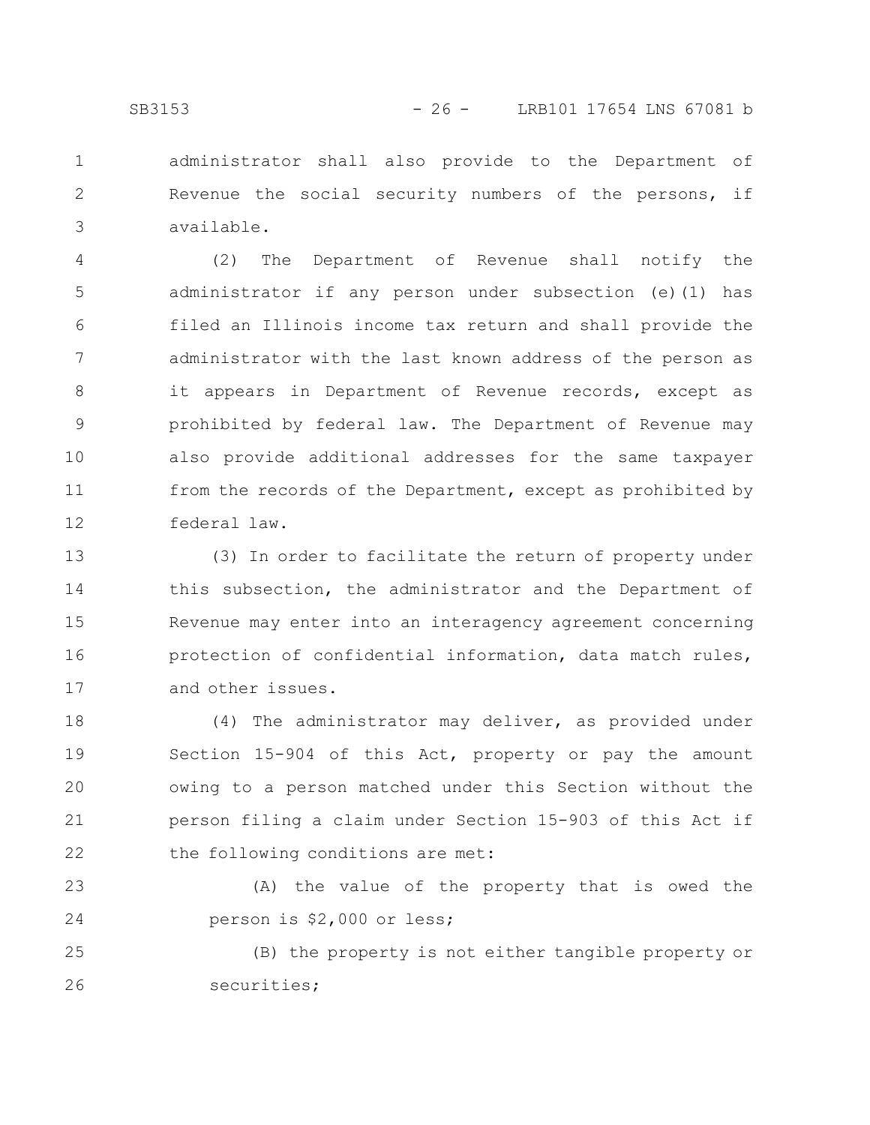administrator shall also provide to the Department of Revenue the social security numbers of the persons, if available. 1 2 3

(2) The Department of Revenue shall notify the administrator if any person under subsection (e)(1) has filed an Illinois income tax return and shall provide the administrator with the last known address of the person as it appears in Department of Revenue records, except as prohibited by federal law. The Department of Revenue may also provide additional addresses for the same taxpayer from the records of the Department, except as prohibited by federal law. 4 5 6 7 8 9 10 11 12

(3) In order to facilitate the return of property under this subsection, the administrator and the Department of Revenue may enter into an interagency agreement concerning protection of confidential information, data match rules, and other issues. 13 14 15 16 17

(4) The administrator may deliver, as provided under Section 15-904 of this Act, property or pay the amount owing to a person matched under this Section without the person filing a claim under Section 15-903 of this Act if the following conditions are met: 18 19 20 21 22

(A) the value of the property that is owed the person is \$2,000 or less; 23 24

(B) the property is not either tangible property or securities; 25 26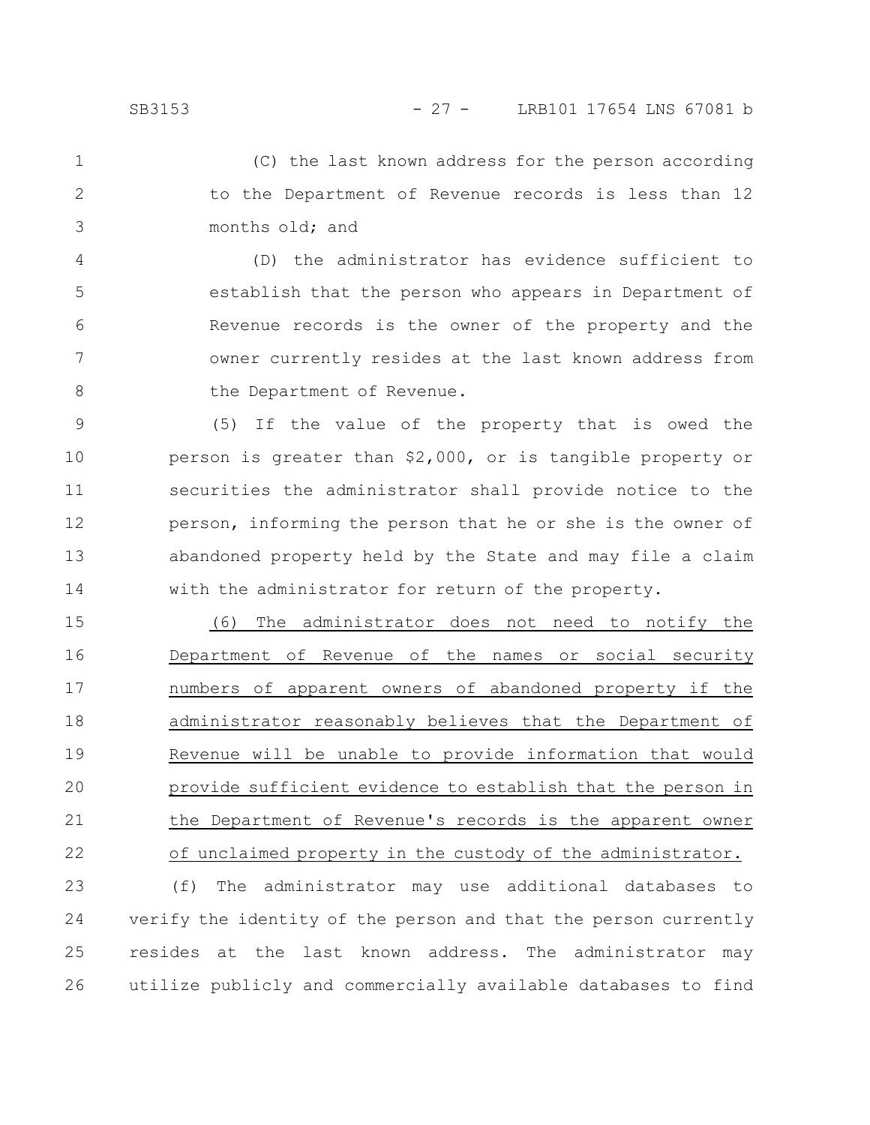(C) the last known address for the person according to the Department of Revenue records is less than 12 months old; and 1 2 3

(D) the administrator has evidence sufficient to establish that the person who appears in Department of Revenue records is the owner of the property and the owner currently resides at the last known address from the Department of Revenue. 4 5 6 7 8

(5) If the value of the property that is owed the person is greater than \$2,000, or is tangible property or securities the administrator shall provide notice to the person, informing the person that he or she is the owner of abandoned property held by the State and may file a claim with the administrator for return of the property. 9 10 11 12 13 14

(6) The administrator does not need to notify the Department of Revenue of the names or social security numbers of apparent owners of abandoned property if the administrator reasonably believes that the Department of Revenue will be unable to provide information that would provide sufficient evidence to establish that the person in the Department of Revenue's records is the apparent owner of unclaimed property in the custody of the administrator. 15 16 17 18 19 20 21 22

(f) The administrator may use additional databases to verify the identity of the person and that the person currently resides at the last known address. The administrator may utilize publicly and commercially available databases to find 23 24 25 26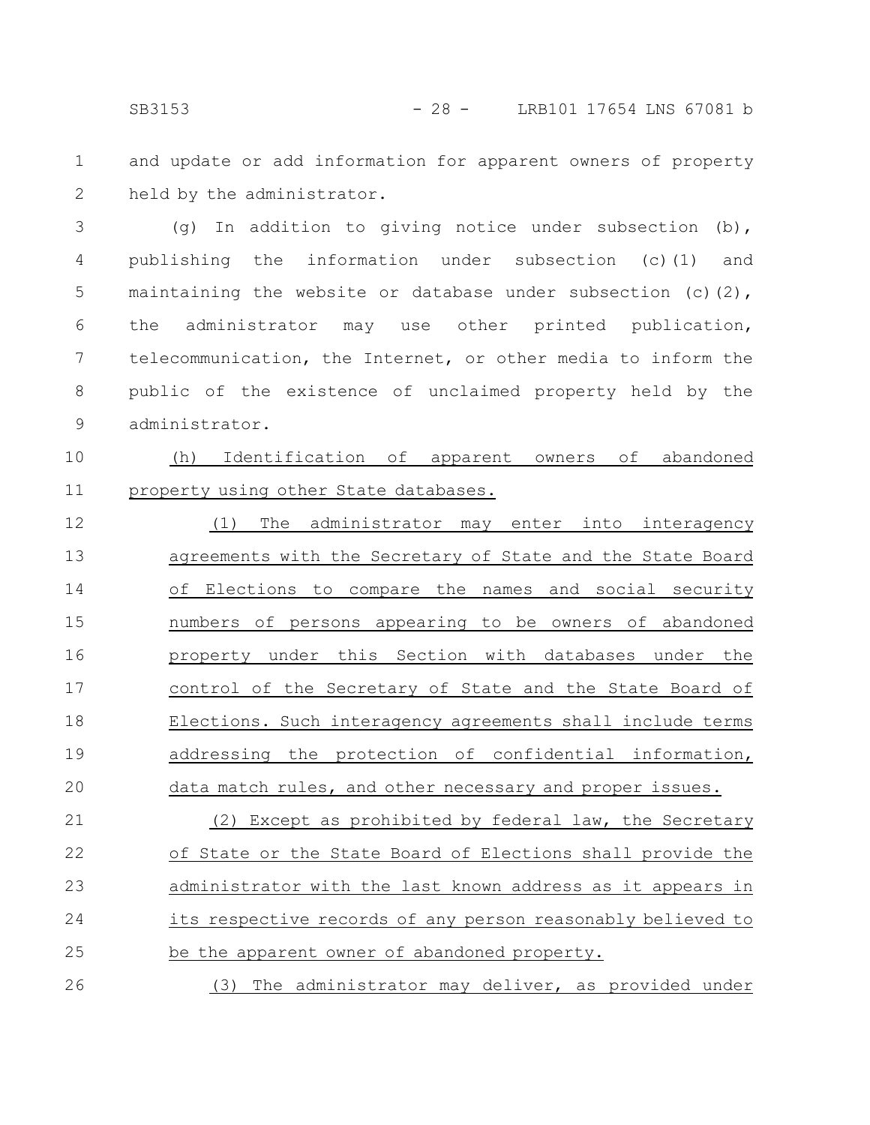and update or add information for apparent owners of property held by the administrator. 1 2

(g) In addition to giving notice under subsection (b), publishing the information under subsection (c)(1) and maintaining the website or database under subsection (c)(2), the administrator may use other printed publication, telecommunication, the Internet, or other media to inform the public of the existence of unclaimed property held by the administrator. 3 4 5 6 7 8 9

(h) Identification of apparent owners of abandoned property using other State databases. 10 11

(1) The administrator may enter into interagency agreements with the Secretary of State and the State Board of Elections to compare the names and social security numbers of persons appearing to be owners of abandoned property under this Section with databases under the control of the Secretary of State and the State Board of Elections. Such interagency agreements shall include terms addressing the protection of confidential information, data match rules, and other necessary and proper issues. 12 13 14 15 16 17 18 19 20

(2) Except as prohibited by federal law, the Secretary of State or the State Board of Elections shall provide the administrator with the last known address as it appears in its respective records of any person reasonably believed to be the apparent owner of abandoned property. 21 22 23 24 25

(3) The administrator may deliver, as provided under 26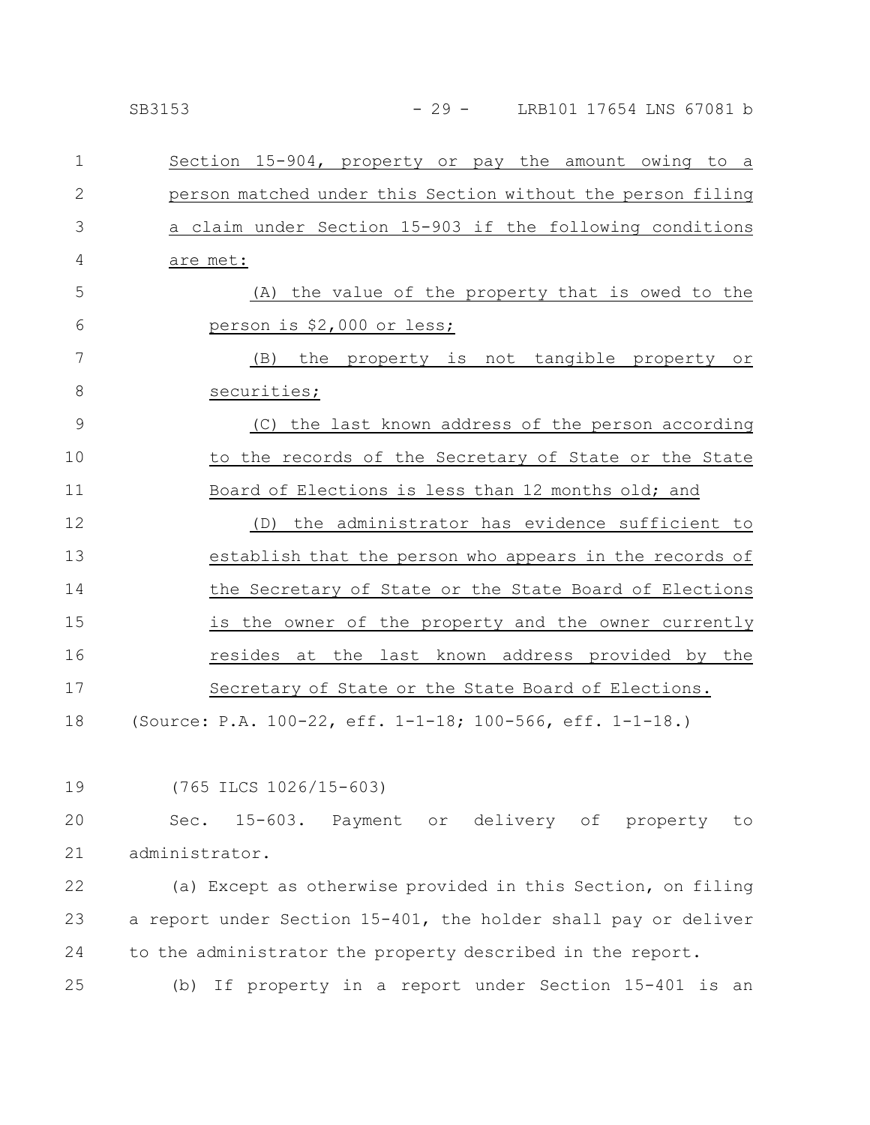| $\mathbf 1$   | Section 15-904, property or pay the amount owing to a       |
|---------------|-------------------------------------------------------------|
| $\mathbf{2}$  | person matched under this Section without the person filing |
| 3             | a claim under Section 15-903 if the following conditions    |
| 4             | are met:                                                    |
| 5             | (A) the value of the property that is owed to the           |
| 6             | <u>person is \$2,000 or less;</u>                           |
| 7             | (B) the property is not tangible property or                |
| 8             | securities;                                                 |
| $\mathcal{G}$ | (C) the last known address of the person according          |
| 10            | to the records of the Secretary of State or the State       |
| 11            | Board of Elections is less than 12 months old; and          |
| 12            | the administrator has evidence sufficient to<br>(D)         |
| 13            | establish that the person who appears in the records of     |
| 14            | the Secretary of State or the State Board of Elections      |
| 15            | is the owner of the property and the owner currently        |
| 16            | resides at the last known address provided by the           |
| 17            | Secretary of State or the State Board of Elections.         |
| 18            | (Source: P.A. 100-22, eff. 1-1-18; 100-566, eff. 1-1-18.)   |

(765 ILCS 1026/15-603)

Sec. 15-603. Payment or delivery of property to administrator. 20 21

(a) Except as otherwise provided in this Section, on filing a report under Section 15-401, the holder shall pay or deliver to the administrator the property described in the report. 22 23 24

(b) If property in a report under Section 15-401 is an 25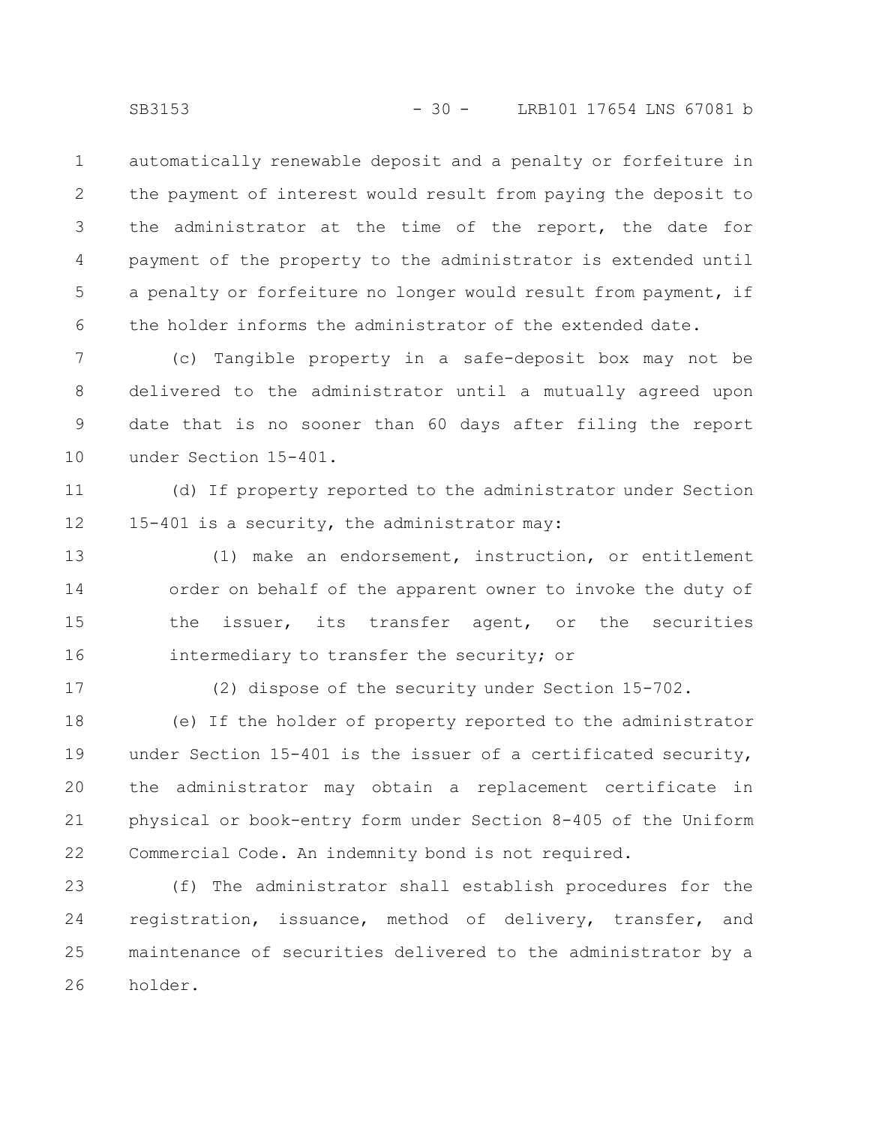automatically renewable deposit and a penalty or forfeiture in the payment of interest would result from paying the deposit to the administrator at the time of the report, the date for payment of the property to the administrator is extended until a penalty or forfeiture no longer would result from payment, if the holder informs the administrator of the extended date. 1 2 3 4 5 6

(c) Tangible property in a safe-deposit box may not be delivered to the administrator until a mutually agreed upon date that is no sooner than 60 days after filing the report under Section 15-401. 7 8 9 10

(d) If property reported to the administrator under Section 15-401 is a security, the administrator may: 11 12

(1) make an endorsement, instruction, or entitlement order on behalf of the apparent owner to invoke the duty of the issuer, its transfer agent, or the securities intermediary to transfer the security; or 13 14 15 16

17

(2) dispose of the security under Section 15-702.

(e) If the holder of property reported to the administrator under Section 15-401 is the issuer of a certificated security, the administrator may obtain a replacement certificate in physical or book-entry form under Section 8-405 of the Uniform Commercial Code. An indemnity bond is not required. 18 19 20 21 22

(f) The administrator shall establish procedures for the registration, issuance, method of delivery, transfer, and maintenance of securities delivered to the administrator by a holder. 23 24 25 26